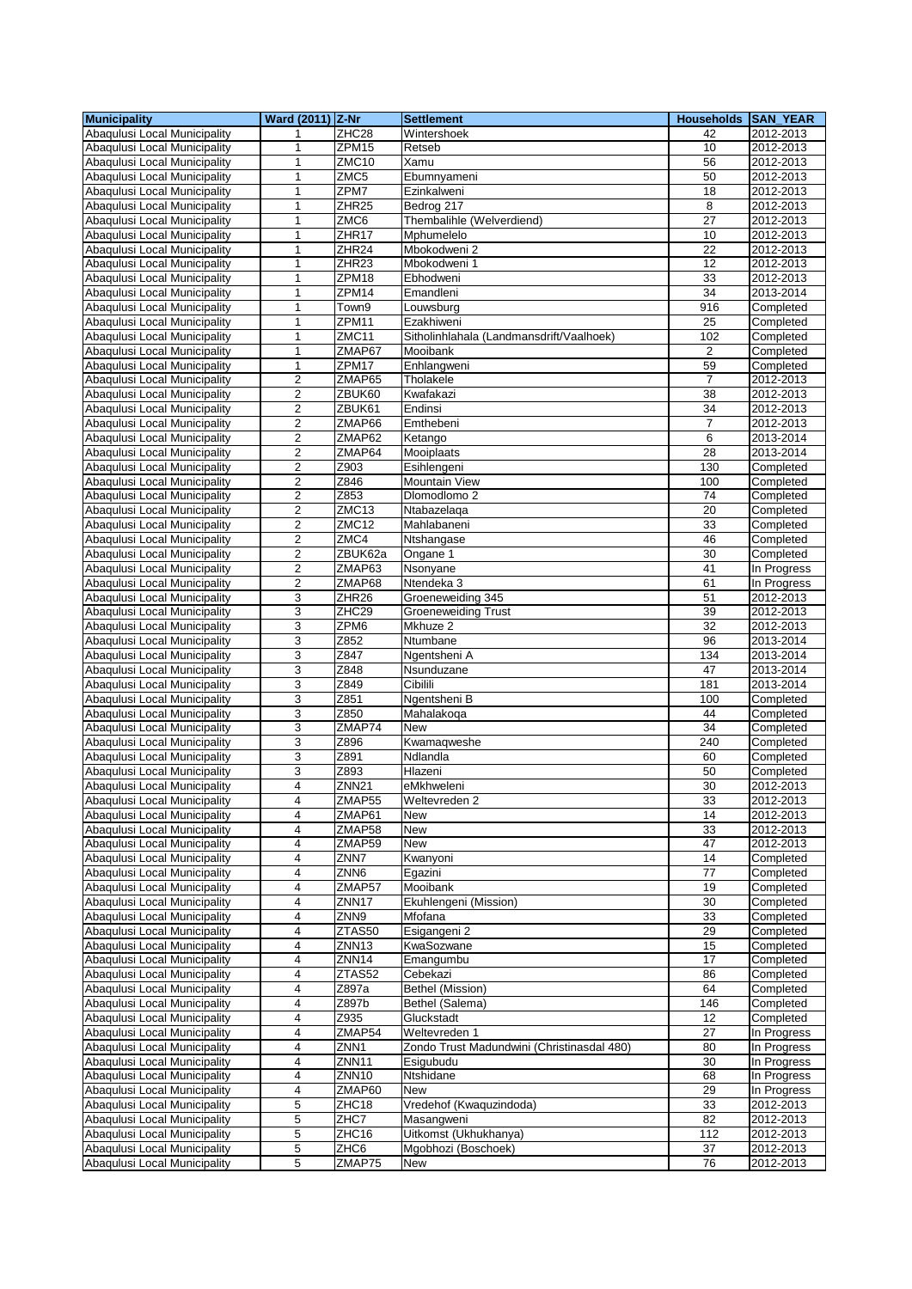| <b>Municipality</b>                                          | Ward (2011) Z-Nr                          |                    | <b>Settlement</b>                          | <b>Households SAN YEAR</b> |                            |
|--------------------------------------------------------------|-------------------------------------------|--------------------|--------------------------------------------|----------------------------|----------------------------|
| Abaqulusi Local Municipality                                 | 1                                         | ZHC28              | Wintershoek                                | 42                         | 2012-2013                  |
| Abaqulusi Local Municipality                                 | 1                                         | ZPM15              | Retseb                                     | 10                         | 2012-2013                  |
| Abagulusi Local Municipality                                 | $\mathbf{1}$                              | ZMC10              | Xamu                                       | 56                         | 2012-2013                  |
| Abaqulusi Local Municipality                                 | 1                                         | ZMC5               | Ebumnyameni                                | 50                         | 2012-2013                  |
| Abaqulusi Local Municipality                                 | 1                                         | ZPM7               | Ezinkalweni                                | 18                         | 2012-2013                  |
| Abagulusi Local Municipality                                 | $\mathbf{1}$                              | ZHR <sub>25</sub>  | Bedrog 217                                 | 8                          | 2012-2013                  |
| Abaqulusi Local Municipality                                 | 1                                         | ZMC6               | Thembalihle (Welverdiend)                  | $\overline{27}$            | 2012-2013                  |
| Abaqulusi Local Municipality                                 | 1                                         | ZHR17              | Mphumelelo                                 | 10                         | 2012-2013                  |
| Abaqulusi Local Municipality                                 | 1                                         | ZHR24              | Mbokodweni 2                               | 22                         | 2012-2013                  |
| Abagulusi Local Municipality                                 | $\mathbf{1}$                              | ZHR <sub>23</sub>  | Mbokodweni 1                               | 12                         | 2012-2013                  |
| Abaqulusi Local Municipality                                 | 1                                         | ZPM18              | Ebhodweni                                  | 33                         | 2012-2013                  |
| Abagulusi Local Municipality                                 | 1                                         | ZPM14              | Emandleni                                  | 34                         | 2013-2014                  |
| Abaqulusi Local Municipality                                 | $\mathbf{1}$                              | Town9              | Louwsburg                                  | 916                        | Completed                  |
| Abaqulusi Local Municipality                                 | $\mathbf{1}$                              | ZPM11              | Ezakhiweni                                 | 25                         | Completed                  |
| Abaqulusi Local Municipality                                 | 1                                         | ZMC11              | Sitholinhlahala (Landmansdrift/Vaalhoek)   | 102                        | Completed                  |
| Abaqulusi Local Municipality                                 | $\mathbf{1}$                              | ZMAP67             | Mooibank                                   | 2                          | Completed                  |
| Abaqulusi Local Municipality                                 | $\mathbf{1}$                              | ZPM17              | Enhlangweni                                | 59                         | Completed                  |
| Abaqulusi Local Municipality                                 | $\overline{c}$                            | ZMAP65             | Tholakele                                  | 7                          | 2012-2013                  |
| Abaqulusi Local Municipality                                 | $\mathbf 2$                               | ZBUK60             | Kwafakazi                                  | 38                         | 2012-2013                  |
| Abaqulusi Local Municipality                                 | $\boldsymbol{2}$                          | ZBUK61             | Endinsi                                    | 34                         | 2012-2013                  |
| Abaqulusi Local Municipality                                 | $\overline{\mathbf{c}}$                   | ZMAP66             | Emthebeni                                  | 7                          | 2012-2013                  |
| Abaqulusi Local Municipality                                 | $\overline{2}$                            | ZMAP62             | Ketango                                    | 6                          | 2013-2014                  |
| Abaqulusi Local Municipality                                 | $\overline{\mathbf{c}}$                   | ZMAP64             | Mooiplaats                                 | 28                         | 2013-2014                  |
| Abaqulusi Local Municipality                                 | $\overline{c}$                            | Z903               | Esihlengeni                                | 130                        | Completed                  |
| Abaqulusi Local Municipality                                 | $\overline{2}$                            | Z846               | <b>Mountain View</b>                       | 100                        | Completed                  |
| Abaqulusi Local Municipality                                 | $\overline{2}$                            | Z853               | Dlomodlomo 2                               | 74                         | Completed                  |
| Abaqulusi Local Municipality                                 | $\mathbf 2$                               | ZMC13              | Ntabazelaga                                | 20                         | Completed                  |
| Abaqulusi Local Municipality                                 | $\overline{\mathbf{c}}$<br>$\overline{2}$ | ZMC12<br>ZMC4      | Mahlabaneni                                | 33                         | Completed                  |
| Abaqulusi Local Municipality<br>Abagulusi Local Municipality | $\sqrt{2}$                                | ZBUK62a            | Ntshangase<br>Ongane 1                     | 46<br>30                   | Completed<br>Completed     |
| Abaqulusi Local Municipality                                 |                                           | ZMAP63             |                                            | 41                         |                            |
| Abaqulusi Local Municipality                                 | $\overline{c}$<br>$\sqrt{2}$              | ZMAP68             | Nsonyane<br>Ntendeka 3                     | 61                         | In Progress<br>In Progress |
| Abaqulusi Local Municipality                                 | 3                                         | ZHR <sub>26</sub>  | Groeneweiding 345                          | 51                         | 2012-2013                  |
| Abaqulusi Local Municipality                                 | 3                                         | ZHC29              | <b>Groeneweiding Trust</b>                 | 39                         | 2012-2013                  |
| Abaqulusi Local Municipality                                 | 3                                         | ZPM6               | Mkhuze 2                                   | 32                         |                            |
| Abaqulusi Local Municipality                                 | 3                                         | Z852               | Ntumbane                                   | 96                         | 2012-2013<br>2013-2014     |
| Abaqulusi Local Municipality                                 | 3                                         | Z847               | Ngentsheni A                               | 134                        | 2013-2014                  |
| Abaqulusi Local Municipality                                 | 3                                         | Z848               | Nsunduzane                                 | 47                         | 2013-2014                  |
| Abaqulusi Local Municipality                                 | 3                                         | Z849               | Cibilili                                   | 181                        | 2013-2014                  |
| Abaqulusi Local Municipality                                 | 3                                         | Z851               | Ngentsheni B                               | 100                        | Completed                  |
| Abaqulusi Local Municipality                                 | 3                                         | Z850               | Mahalakoga                                 | 44                         | Completed                  |
| Abaqulusi Local Municipality                                 | 3                                         | ZMAP74             | <b>New</b>                                 | 34                         | Completed                  |
| Abaqulusi Local Municipality                                 | 3                                         | Z896               | Kwamaqweshe                                | 240                        | Completed                  |
| Abaqulusi Local Municipality                                 | 3                                         | Z891               | Ndlandla                                   | 60                         | Completed                  |
| Abaqulusi Local Municipality                                 | 3                                         | Z893               | Hlazeni                                    | 50                         | Completed                  |
| Abaqulusi Local Municipality                                 | $\overline{\mathbf{4}}$                   | ZNN <sub>21</sub>  | eMkhweleni                                 | 30                         | 2012-2013                  |
| Abaqulusi Local Municipality                                 | 4                                         | ZMAP <sub>55</sub> | Weltevreden 2                              | 33                         | 2012-2013                  |
| Abaqulusi Local Municipality                                 | $\overline{4}$                            | ZMAP61             | New                                        | 14                         | 2012-2013                  |
| Abaqulusi Local Municipality                                 | 4                                         | ZMAP58             | New                                        | 33                         | 2012-2013                  |
| Abaqulusi Local Municipality                                 | $\overline{4}$                            | ZMAP59             | New                                        | 47                         | 2012-2013                  |
| Abagulusi Local Municipality                                 | 4                                         | ZNN7               | Kwanyoni                                   | 14                         | Completed                  |
| Abaqulusi Local Municipality                                 | 4                                         | ZNN <sub>6</sub>   | Egazini                                    | $\overline{77}$            | Completed                  |
| Abaqulusi Local Municipality                                 | 4                                         | ZMAP57             | Mooibank                                   | 19                         | Completed                  |
| Abaqulusi Local Municipality                                 | 4                                         | ZNN17              | Ekuhlengeni (Mission)                      | 30                         | Completed                  |
| Abaqulusi Local Municipality                                 | 4                                         | ZNN9               | Mfofana                                    | 33                         | Completed                  |
| Abaqulusi Local Municipality                                 | 4                                         | ZTAS50             | Esigangeni 2                               | 29                         | Completed                  |
| Abaqulusi Local Municipality                                 | 4                                         | ZNN <sub>13</sub>  | KwaSozwane                                 | 15                         | Completed                  |
| Abaqulusi Local Municipality                                 | 4                                         | ZNN14              | Emangumbu                                  | 17                         | Completed                  |
| Abaqulusi Local Municipality                                 | 4                                         | ZTAS52             | Cebekazi                                   | 86                         | Completed                  |
| Abaqulusi Local Municipality                                 | $\overline{\mathbf{4}}$                   | Z897a              | Bethel (Mission)                           | 64                         | Completed                  |
| Abaqulusi Local Municipality                                 | 4                                         | Z897b              | Bethel (Salema)                            | 146                        | Completed                  |
| Abaqulusi Local Municipality                                 | 4                                         | Z935               | Gluckstadt                                 | 12                         | Completed                  |
| Abaqulusi Local Municipality                                 | 4                                         | ZMAP54             | Weltevreden 1                              | 27                         | In Progress                |
| Abaqulusi Local Municipality                                 | 4                                         | ZNN1               | Zondo Trust Madundwini (Christinasdal 480) | 80                         | In Progress                |
| Abaqulusi Local Municipality                                 | $\pmb{4}$                                 | ZNN11              | Esigubudu                                  | 30                         | In Progress                |
| Abaqulusi Local Municipality                                 | 4                                         | <b>ZNN10</b>       | Ntshidane                                  | 68                         | In Progress                |
| Abaqulusi Local Municipality                                 | $\overline{\mathbf{4}}$                   | ZMAP60             | New                                        | 29                         | In Progress                |
| Abaqulusi Local Municipality                                 | 5                                         | ZHC18              | Vredehof (Kwaquzindoda)                    | 33                         | 2012-2013                  |
| Abaqulusi Local Municipality                                 | 5                                         | ZHC7               | Masangweni                                 | 82                         | 2012-2013                  |
| Abaqulusi Local Municipality                                 | 5                                         | ZHC16              | Uitkomst (Ukhukhanya)                      | 112                        | 2012-2013                  |
| Abaqulusi Local Municipality                                 | $\,$ 5 $\,$                               | ZHC6               | Mgobhozi (Boschoek)                        | 37                         | 2012-2013                  |
| Abaqulusi Local Municipality                                 | 5                                         | ZMAP75             | New                                        | 76                         | 2012-2013                  |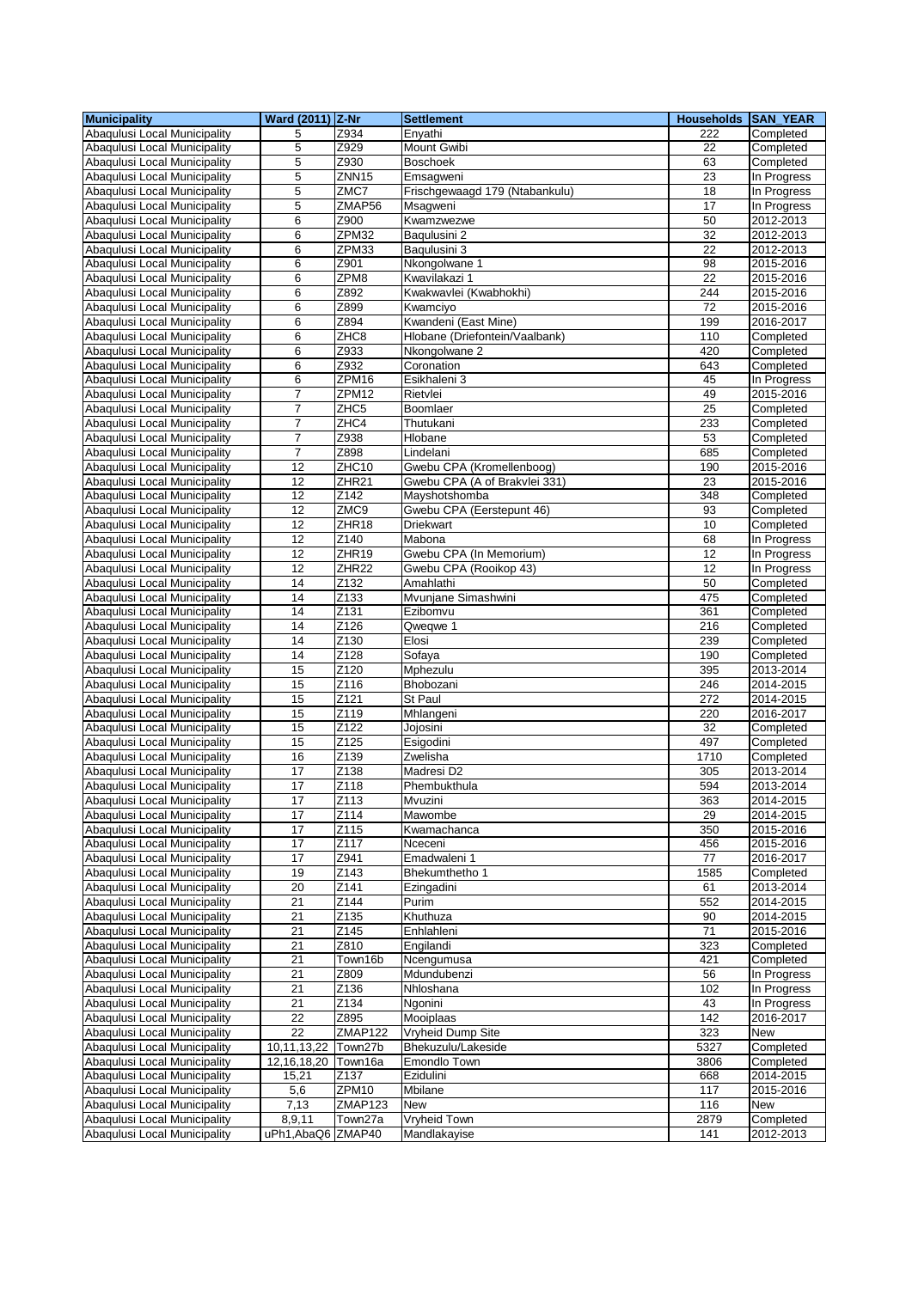| <b>Municipality</b>                                          | Ward (2011) Z-Nr   |                          | <b>Settlement</b>                                      | Households SAN_YEAR |                        |
|--------------------------------------------------------------|--------------------|--------------------------|--------------------------------------------------------|---------------------|------------------------|
| Abaqulusi Local Municipality                                 | 5                  | Z934                     | Enyathi                                                | 222                 | Completed              |
| Abaqulusi Local Municipality                                 | 5                  | Z929                     | Mount Gwibi                                            | 22                  | Completed              |
| Abaqulusi Local Municipality                                 | 5                  | Z930                     | <b>Boschoek</b>                                        | 63                  | Completed              |
| Abaqulusi Local Municipality                                 | 5                  | ZNN <sub>15</sub>        | Emsagweni                                              | 23                  | In Progress            |
| Abaqulusi Local Municipality                                 | 5                  | ZMC7                     | Frischgewaagd 179 (Ntabankulu)                         | 18                  | In Progress            |
| Abagulusi Local Municipality                                 | 5                  | ZMAP56                   | Msagweni                                               | 17                  | In Progress            |
| Abaqulusi Local Municipality                                 | 6                  | Z900                     | Kwamzwezwe                                             | 50                  | 2012-2013              |
| Abaqulusi Local Municipality                                 | 6                  | ZPM32                    | Baqulusini 2                                           | 32                  | 2012-2013              |
| Abaqulusi Local Municipality                                 | 6                  | ZPM33                    | Baqulusini 3                                           | 22                  | 2012-2013              |
| Abagulusi Local Municipality                                 | 6                  | Z901                     | Nkongolwane 1                                          | 98                  | 2015-2016              |
| Abaqulusi Local Municipality                                 | 6                  | ZPM8                     | Kwavilakazi 1                                          | 22                  | 2015-2016              |
| Abagulusi Local Municipality                                 | 6                  | Z892                     | Kwakwavlei (Kwabhokhi)                                 | 244                 | 2015-2016              |
| Abaqulusi Local Municipality                                 | 6                  | Z899                     | Kwamciyo                                               | 72                  | 2015-2016              |
| Abaqulusi Local Municipality                                 | 6<br>6             | Z894<br>ZHC <sub>8</sub> | Kwandeni (East Mine)<br>Hlobane (Driefontein/Vaalbank) | 199                 | 2016-2017<br>Completed |
| Abaqulusi Local Municipality<br>Abaqulusi Local Municipality | 6                  | Z933                     | Nkongolwane 2                                          | 110<br>420          | Completed              |
| Abaqulusi Local Municipality                                 | 6                  | Z932                     | Coronation                                             | 643                 | Completed              |
| Abaqulusi Local Municipality                                 | 6                  | ZPM16                    | Esikhaleni 3                                           | 45                  | In Progress            |
| Abaqulusi Local Municipality                                 | $\overline{7}$     | ZPM12                    | Rietvlei                                               | 49                  | 2015-2016              |
| Abaqulusi Local Municipality                                 | $\overline{7}$     | ZHC <sub>5</sub>         | Boomlaer                                               | 25                  | Completed              |
| Abagulusi Local Municipality                                 | $\overline{7}$     | ZHC4                     | Thutukani                                              | 233                 | Completed              |
| Abaqulusi Local Municipality                                 | $\overline{7}$     | Z938                     | Hlobane                                                | 53                  | Completed              |
| Abaqulusi Local Municipality                                 | $\overline{7}$     | Z898                     | Lindelani                                              | 685                 | Completed              |
| Abaqulusi Local Municipality                                 | 12                 | ZHC <sub>10</sub>        | Gwebu CPA (Kromellenboog)                              | 190                 | 2015-2016              |
| Abaqulusi Local Municipality                                 | 12                 | ZHR <sub>21</sub>        | Gwebu CPA (A of Brakvlei 331)                          | 23                  | 2015-2016              |
| Abaqulusi Local Municipality                                 | $\overline{12}$    | $Z$ 142                  | Mayshotshomba                                          | 348                 | Completed              |
| Abaqulusi Local Municipality                                 | 12                 | ZMC9                     | Gwebu CPA (Eerstepunt 46)                              | 93                  | Completed              |
| Abaqulusi Local Municipality                                 | 12                 | ZHR18                    | <b>Driekwart</b>                                       | 10                  | Completed              |
| Abaqulusi Local Municipality                                 | 12                 | Z140                     | Mabona                                                 | 68                  | In Progress            |
| Abaqulusi Local Municipality                                 | 12                 | ZHR19                    | Gwebu CPA (In Memorium)                                | 12                  | In Progress            |
| Abaqulusi Local Municipality                                 | 12                 | ZHR22                    | Gwebu CPA (Rooikop 43)                                 | 12                  | In Progress            |
| Abaqulusi Local Municipality                                 | 14                 | Z132                     | Amahlathi                                              | 50                  | Completed              |
| Abaqulusi Local Municipality                                 | 14                 | Z133                     | Mvunjane Simashwini                                    | 475                 | Completed              |
| Abaqulusi Local Municipality<br>Abaqulusi Local Municipality | 14<br>14           | Z131<br>Z126             | Ezibomvu<br>Qweqwe 1                                   | 361<br>216          | Completed              |
| Abaqulusi Local Municipality                                 | 14                 | Z <sub>130</sub>         | Elosi                                                  | 239                 | Completed<br>Completed |
| Abaqulusi Local Municipality                                 | 14                 | Z128                     | Sofaya                                                 | 190                 | Completed              |
| Abaqulusi Local Municipality                                 | 15                 | Z120                     | Mphezulu                                               | 395                 | 2013-2014              |
| Abaqulusi Local Municipality                                 | 15                 | Z116                     | Bhobozani                                              | 246                 | 2014-2015              |
| Abaqulusi Local Municipality                                 | 15                 | Z121                     | St Paul                                                | $\overline{272}$    | 2014-2015              |
| Abaqulusi Local Municipality                                 | 15                 | Z119                     | Mhlangeni                                              | 220                 | 2016-2017              |
| Abaqulusi Local Municipality                                 | 15                 | Z122                     | Jojosini                                               | 32                  | Completed              |
| Abaqulusi Local Municipality                                 | 15                 | Z125                     | Esigodini                                              | 497                 | Completed              |
| Abaqulusi Local Municipality                                 | 16                 | Z139                     | Zwelisha                                               | 1710                | Completed              |
| Abaqulusi Local Municipality                                 | $\overline{17}$    | Z138                     | Madresi D2                                             | 305                 | 2013-2014              |
| Abaqulusi Local Municipality                                 | 17                 | Z118                     | Phembukthula                                           | 594                 | 2013-2014              |
| Abaqulusi Local Municipality                                 | 1/                 | Z113                     | Mvuzini                                                | 363                 | 2014-2015              |
| Abaqulusi Local Municipality                                 | 17                 | Z114                     | Mawombe                                                | 29                  | 2014-2015              |
| Abaqulusi Local Municipality                                 | 17                 | Z115                     | Kwamachanca                                            | 350                 | 2015-2016              |
| Abaqulusi Local Municipality                                 | 17                 | Z117                     | Nceceni                                                | 456                 | 2015-2016              |
| Abaqulusi Local Municipality                                 | 17<br>19           | Z941<br>Z143             | Emadwaleni 1<br>Bhekumthetho 1                         | 77<br>1585          | 2016-2017              |
| Abaqulusi Local Municipality<br>Abaqulusi Local Municipality | 20                 | Z141                     | Ezingadini                                             | 61                  | Completed<br>2013-2014 |
| Abaqulusi Local Municipality                                 | 21                 | Z144                     | Purim                                                  | 552                 | 2014-2015              |
| Abaqulusi Local Municipality                                 | 21                 | Z135                     | Khuthuza                                               | 90                  | 2014-2015              |
| Abaqulusi Local Municipality                                 | 21                 | Z145                     | Enhlahleni                                             | 71                  | 2015-2016              |
| Abaqulusi Local Municipality                                 | 21                 | Z810                     | Engilandi                                              | 323                 | Completed              |
| Abaqulusi Local Municipality                                 | 21                 | Town16b                  | Ncengumusa                                             | 421                 | Completed              |
| Abaqulusi Local Municipality                                 | 21                 | Z809                     | Mdundubenzi                                            | 56                  | In Progress            |
| Abaqulusi Local Municipality                                 | $\overline{21}$    | Z136                     | Nhloshana                                              | 102                 | In Progress            |
| Abaqulusi Local Municipality                                 | 21                 | Z134                     | Ngonini                                                | 43                  | In Progress            |
| Abaqulusi Local Municipality                                 | 22                 | Z895                     | Mooiplaas                                              | 142                 | 2016-2017              |
| Abaqulusi Local Municipality                                 | 22                 | ZMAP122                  | Vryheid Dump Site                                      | 323                 | New                    |
| Abaqulusi Local Municipality                                 | 10,11,13,22        | Town27b                  | Bhekuzulu/Lakeside                                     | 5327                | Completed              |
| Abaqulusi Local Municipality                                 | 12, 16, 18, 20     | Town16a                  | Emondlo Town                                           | 3806                | Completed              |
| Abaqulusi Local Municipality                                 | 15,21              | Z137<br>ZPM10            | Ezidulini<br>Mbilane                                   | 668                 | 2014-2015<br>2015-2016 |
| Abaqulusi Local Municipality<br>Abaqulusi Local Municipality | 5,6<br>7,13        | ZMAP123                  | New                                                    | 117<br>116          | New                    |
| Abaqulusi Local Municipality                                 | 8,9,11             | Town27a                  | Vryheid Town                                           | 2879                | Completed              |
| Abaqulusi Local Municipality                                 | uPh1, AbaQ6 ZMAP40 |                          | Mandlakayise                                           | 141                 | 2012-2013              |
|                                                              |                    |                          |                                                        |                     |                        |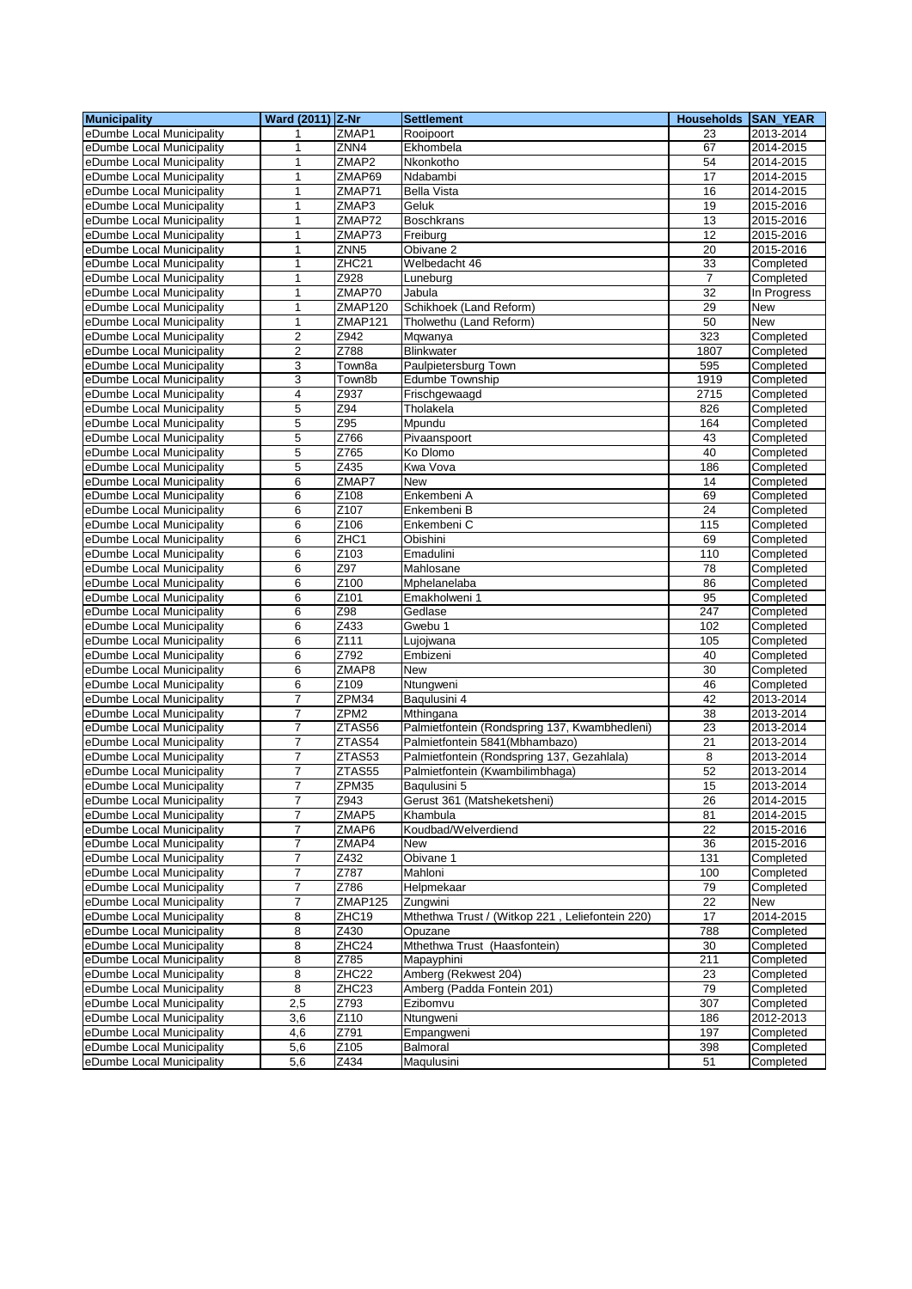| <b>Municipality</b>       | Ward (2011) Z-Nr        |                   | <b>Settlement</b>                               | Households SAN_YEAR |             |
|---------------------------|-------------------------|-------------------|-------------------------------------------------|---------------------|-------------|
| eDumbe Local Municipality | 1                       | ZMAP1             | Rooipoort                                       | 23                  | 2013-2014   |
| eDumbe Local Municipality | 1                       | ZNN4              | Ekhombela                                       | 67                  | 2014-2015   |
| eDumbe Local Municipality | $\mathbf{1}$            | ZMAP <sub>2</sub> | Nkonkotho                                       | 54                  | 2014-2015   |
| eDumbe Local Municipality | 1                       | ZMAP69            | Ndabambi                                        | 17                  | 2014-2015   |
| eDumbe Local Municipality | 1                       | ZMAP71            | <b>Bella Vista</b>                              | 16                  | 2014-2015   |
| eDumbe Local Municipality | 1                       | ZMAP3             | Geluk                                           | 19                  | 2015-2016   |
| eDumbe Local Municipality | 1                       | ZMAP72            | <b>Boschkrans</b>                               | 13                  | 2015-2016   |
| eDumbe Local Municipality | 1                       | ZMAP73            | Freiburg                                        | $\overline{12}$     | 2015-2016   |
| eDumbe Local Municipality | 1                       | ZNN <sub>5</sub>  | Obivane <sub>2</sub>                            | 20                  | 2015-2016   |
| eDumbe Local Municipality | 1                       | ZHC <sub>21</sub> | Welbedacht 46                                   | 33                  | Completed   |
| eDumbe Local Municipality | 1                       | Z928              | Luneburg                                        | 7                   | Completed   |
| eDumbe Local Municipality | 1                       | ZMAP70            | Jabula                                          | 32                  | In Progress |
| eDumbe Local Municipality | 1                       | <b>ZMAP120</b>    | Schikhoek (Land Reform)                         | 29                  | New         |
| eDumbe Local Municipality | $\mathbf{1}$            | ZMAP121           | Tholwethu (Land Reform)                         | 50                  | <b>New</b>  |
| eDumbe Local Municipality | $\overline{2}$          | Z942              | Mqwanya                                         | 323                 | Completed   |
| eDumbe Local Municipality | $\overline{\mathbf{c}}$ | Z788              | Blinkwater                                      | 1807                | Completed   |
| eDumbe Local Municipality | 3                       | Town8a            | Paulpietersburg Town                            | 595                 | Completed   |
| eDumbe Local Municipality | 3                       | Town8b            | <b>Edumbe Township</b>                          | 1919                | Completed   |
| eDumbe Local Municipality | $\overline{\mathbf{4}}$ | Z937              | Frischgewaagd                                   | 2715                | Completed   |
| eDumbe Local Municipality | 5                       | Z94               | Tholakela                                       | 826                 | Completed   |
| eDumbe Local Municipality | 5                       | Z95               | Mpundu                                          | 164                 | Completed   |
| eDumbe Local Municipality | 5                       | Z766              | Pivaanspoort                                    | 43                  | Completed   |
| eDumbe Local Municipality | 5                       | Z765              | Ko Dlomo                                        | 40                  | Completed   |
| eDumbe Local Municipality | 5                       | Z435              | Kwa Vova                                        | 186                 | Completed   |
| eDumbe Local Municipality | 6                       | ZMAP7             | <b>New</b>                                      | 14                  | Completed   |
| eDumbe Local Municipality | 6                       | Z108              | Enkembeni A                                     | 69                  | Completed   |
| eDumbe Local Municipality | 6                       | Z <sub>107</sub>  | Enkembeni B                                     | 24                  | Completed   |
| eDumbe Local Municipality | 6                       | Z106              | Enkembeni C                                     | 115                 | Completed   |
| eDumbe Local Municipality | $\overline{6}$          | ZHC1              | Obishini                                        | 69                  | Completed   |
| eDumbe Local Municipality | 6                       | Z103              | Emadulini                                       | 110                 | Completed   |
| eDumbe Local Municipality | 6                       | Z97               | Mahlosane                                       | 78                  | Completed   |
| eDumbe Local Municipality | 6                       | Z <sub>100</sub>  | Mphelanelaba                                    | 86                  | Completed   |
| eDumbe Local Municipality | 6                       | Z <sub>101</sub>  | Emakholweni 1                                   | 95                  | Completed   |
| eDumbe Local Municipality | 6                       | Z98               | Gedlase                                         | 247                 | Completed   |
| eDumbe Local Municipality | 6                       | Z433              | Gwebu 1                                         | 102                 | Completed   |
| eDumbe Local Municipality | 6                       | $\overline{Z111}$ | Lujojwana                                       | 105                 | Completed   |
| eDumbe Local Municipality | 6                       | Z792              | Embizeni                                        | 40                  | Completed   |
| eDumbe Local Municipality | 6                       | ZMAP8             | <b>New</b>                                      | 30                  | Completed   |
| eDumbe Local Municipality | 6                       | Z109              | Ntungweni                                       | 46                  | Completed   |
| eDumbe Local Municipality | 7                       | ZPM34             | Baqulusini 4                                    | 42                  | 2013-2014   |
| eDumbe Local Municipality | 7                       | ZPM <sub>2</sub>  | Mthingana                                       | $\overline{38}$     | 2013-2014   |
| eDumbe Local Municipality | 7                       | ZTAS56            | Palmietfontein (Rondspring 137, Kwambhedleni)   | 23                  | 2013-2014   |
| eDumbe Local Municipality | $\overline{7}$          | ZTAS54            | Palmietfontein 5841 (Mbhambazo)                 | 21                  | 2013-2014   |
| eDumbe Local Municipality | 7                       | ZTAS53            | Palmietfontein (Rondspring 137, Gezahlala)      | 8                   | 2013-2014   |
| eDumbe Local Municipality | 7                       | ZTAS55            | Palmietfontein (Kwambilimbhaga)                 | 52                  | 2013-2014   |
| eDumbe Local Municipality | $\overline{7}$          | ZPM35             | Baqulusini 5                                    | 15                  | 2013-2014   |
| eDumbe Local Municipality | 7                       | Z943              | Gerust 361 (Matsheketsheni)                     | 26                  | 2014-2015   |
| eDumbe Local Municipality | 7                       | ZMAP5             | Khambula                                        | 81                  | 2014-2015   |
| eDumbe Local Municipality | 7                       | ZMAP6             | Koudbad/Welverdiend                             | 22                  | 2015-2016   |
| eDumbe Local Municipality | 7                       | ZMAP4             | New                                             | 36                  | 2015-2016   |
| eDumbe Local Municipality | 7                       | Z432              | Obivane 1                                       | 131                 | Completed   |
| eDumbe Local Municipality | 7                       | Z787              | Mahloni                                         | 100                 | Completed   |
| eDumbe Local Municipality | 7                       | Z786              | Helpmekaar                                      | 79                  | Completed   |
| eDumbe Local Municipality | 7                       | ZMAP125           | Zungwini                                        | 22                  | New         |
| eDumbe Local Municipality | 8                       | ZHC19             | Mthethwa Trust / (Witkop 221, Leliefontein 220) | $\overline{17}$     | 2014-2015   |
| eDumbe Local Municipality | 8                       | Z430              | Opuzane                                         | 788                 | Completed   |
| eDumbe Local Municipality | 8                       | ZHC24             | Mthethwa Trust (Haasfontein)                    | 30                  | Completed   |
| eDumbe Local Municipality | 8                       | Z785              | Mapayphini                                      | 211                 | Completed   |
| eDumbe Local Municipality | 8                       | ZHC <sub>22</sub> | Amberg (Rekwest 204)                            | 23                  | Completed   |
| eDumbe Local Municipality | 8                       | ZHC23             | Amberg (Padda Fontein 201)                      | 79                  | Completed   |
| eDumbe Local Municipality | 2,5                     | Z793              | Ezibomvu                                        | 307                 | Completed   |
| eDumbe Local Municipality | 3,6                     | Z110              | Ntungweni                                       | 186                 | 2012-2013   |
| eDumbe Local Municipality | 4,6                     | Z791              | Empangweni                                      | 197                 | Completed   |
| eDumbe Local Municipality | 5,6                     | Z105              | Balmoral                                        | 398                 | Completed   |
| eDumbe Local Municipality | 5,6                     | Z434              | Maqulusini                                      | 51                  | Completed   |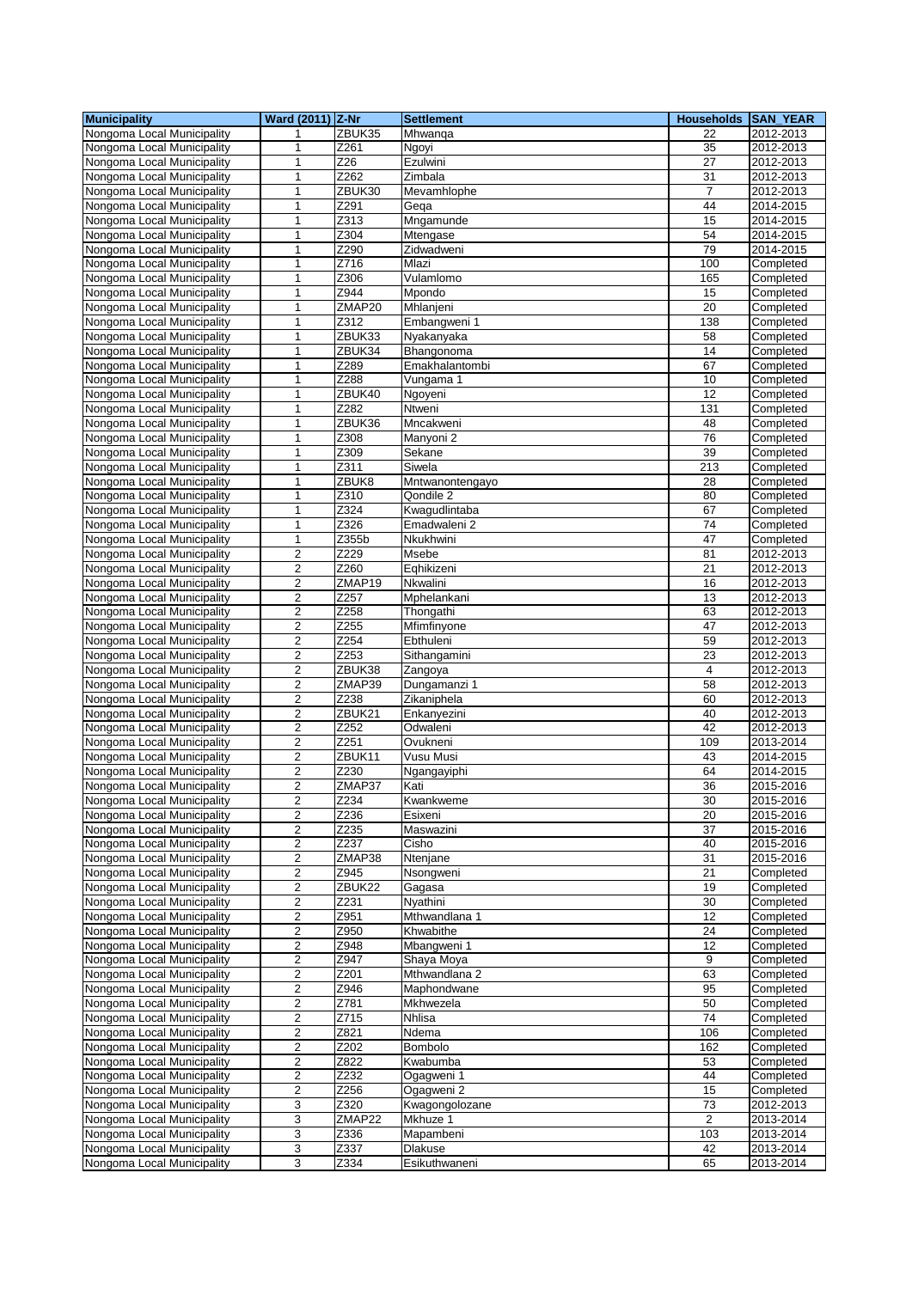| <b>Municipality</b>        | Ward (2011) Z-Nr        |                   | <b>Settlement</b> | <b>Households</b> | SAN_YEAR      |
|----------------------------|-------------------------|-------------------|-------------------|-------------------|---------------|
| Nongoma Local Municipality | 1                       | ZBUK35            | Mhwanga           | 22                | 2012-2013     |
| Nongoma Local Municipality | 1                       | Z261              | Ngoyi             | 35                | 2012-2013     |
| Nongoma Local Municipality | 1                       | $\overline{Z26}$  | Ezulwini          | $\overline{27}$   | 2012-2013     |
| Nongoma Local Municipality | 1                       | Z262              | Zimbala           | 31                | 2012-2013     |
| Nongoma Local Municipality | 1                       | ZBUK30            | Mevamhlophe       | $\overline{7}$    | 2012-2013     |
| Nongoma Local Municipality | 1                       | Z291              | Gega              | 44                | 2014-2015     |
| Nongoma Local Municipality | 1                       | Z313              | Mngamunde         | 15                | 2014-2015     |
|                            |                         |                   |                   |                   |               |
| Nongoma Local Municipality | 1                       | Z304              | Mtengase          | 54                | 2014-2015     |
| Nongoma Local Municipality | 1                       | Z290              | Zidwadweni        | 79                | $2014 - 2015$ |
| Nongoma Local Municipality | 1                       | Z716              | Mlazi             | 100               | Completed     |
| Nongoma Local Municipality | 1                       | Z306              | Vulamlomo         | 165               | Completed     |
| Nongoma Local Municipality | 1                       | Z944              | Mpondo            | 15                | Completed     |
| Nongoma Local Municipality | 1                       | ZMAP20            | Mhlanjeni         | 20                | Completed     |
| Nongoma Local Municipality | 1                       | Z312              | Embangweni 1      | 138               | Completed     |
| Nongoma Local Municipality | 1                       | ZBUK33            | Nyakanyaka        | 58                | Completed     |
| Nongoma Local Municipality | 1                       | ZBUK34            | Bhangonoma        | 14                | Completed     |
| Nongoma Local Municipality | 1                       | Z289              | Emakhalantombi    | 67                | Completed     |
| Nongoma Local Municipality | 1                       | Z288              | Vungama 1         | 10                | Completed     |
| Nongoma Local Municipality | $\mathbf{1}$            | ZBUK40            | Ngoyeni           | 12                | Completed     |
| Nongoma Local Municipality | 1                       | Z282              | Ntweni            | 131               | Completed     |
| Nongoma Local Municipality | 1                       | ZBUK36            | Mncakweni         | 48                |               |
|                            |                         |                   |                   |                   | Completed     |
| Nongoma Local Municipality | $\mathbf{1}$            | Z308              | Manyoni 2         | 76                | Completed     |
| Nongoma Local Municipality | 1                       | Z309              | Sekane            | 39                | Completed     |
| Nongoma Local Municipality | $\mathbf{1}$            | Z311              | Siwela            | 213               | Completed     |
| Nongoma Local Municipality | 1                       | ZBUK8             | Mntwanontengayo   | 28                | Completed     |
| Nongoma Local Municipality | $\mathbf{1}$            | Z310              | Qondile 2         | 80                | Completed     |
| Nongoma Local Municipality | 1                       | Z324              | Kwagudlintaba     | 67                | Completed     |
| Nongoma Local Municipality | 1                       | Z326              | Emadwaleni 2      | 74                | Completed     |
| Nongoma Local Municipality | $\mathbf{1}$            | Z355b             | Nkukhwini         | 47                | Completed     |
| Nongoma Local Municipality | $\overline{c}$          | Z229              | Msebe             | 81                | 2012-2013     |
| Nongoma Local Municipality | $\overline{2}$          | Z260              | Eqhikizeni        | 21                | 2012-2013     |
| Nongoma Local Municipality | $\overline{2}$          | ZMAP19            | <b>Nkwalini</b>   | 16                | 2012-2013     |
| Nongoma Local Municipality | $\overline{2}$          | Z257              | Mphelankani       | 13                | 2012-2013     |
|                            |                         | $\overline{Z}258$ |                   |                   |               |
| Nongoma Local Municipality | 2                       |                   | Thongathi         | 63                | 2012-2013     |
| Nongoma Local Municipality | $\overline{2}$          | Z255              | Mfimfinyone       | 47                | 2012-2013     |
| Nongoma Local Municipality | $\overline{2}$          | Z254              | Ebthuleni         | 59                | 2012-2013     |
| Nongoma Local Municipality | 2                       | $\overline{Z}253$ | Sithangamini      | 23                | 2012-2013     |
| Nongoma Local Municipality | $\overline{2}$          | ZBUK38            | Zangoya           | 4                 | 2012-2013     |
| Nongoma Local Municipality | 2                       | ZMAP39            | Dungamanzi 1      | 58                | 2012-2013     |
| Nongoma Local Municipality | $\overline{2}$          | Z238              | Zikaniphela       | 60                | 2012-2013     |
| Nongoma Local Municipality | $\overline{c}$          | ZBUK21            | Enkanyezini       | 40                | 2012-2013     |
| Nongoma Local Municipality | $\overline{2}$          | Z252              | Odwaleni          | 42                | 2012-2013     |
| Nongoma Local Municipality | $\overline{2}$          | Z251              | Ovukneni          | 109               | 2013-2014     |
| Nongoma Local Municipality | $\overline{c}$          | ZBUK11            | Vusu Musi         | 43                | 2014-2015     |
| Nongoma Local Municipality | 2                       | Z230              | Ngangayiphi       | 64                | 2014-2015     |
| Nongoma Local Municipality | 2                       | ZMAP37            | Kati              | 36                | 2015-2016     |
| Nongoma Local Municipality | $\boldsymbol{2}$        | Z234              | Kwankweme         | 30                | 2015-2016     |
|                            |                         | Z236              |                   |                   |               |
| Nongoma Local Municipality | 2                       |                   | Esixeni           | 20                | 2015-2016     |
| Nongoma Local Municipality | 2                       | Z235              | Maswazini         | 37                | 2015-2016     |
| Nongoma Local Municipality | $\overline{c}$          | Z237              | Cisho             | 40                | 2015-2016     |
| Nongoma Local Municipality | 2                       | ZMAP38            | Ntenjane          | 31                | 2015-2016     |
| Nongoma Local Municipality | 2                       | Z945              | Nsongweni         | 21                | Completed     |
| Nongoma Local Municipality | 2                       | ZBUK22            | Gagasa            | 19                | Completed     |
| Nongoma Local Municipality | $\boldsymbol{2}$        | Z231              | Nyathini          | 30                | Completed     |
| Nongoma Local Municipality | $\overline{c}$          | Z951              | Mthwandlana 1     | 12                | Completed     |
| Nongoma Local Municipality | 2                       | Z950              | Khwabithe         | 24                | Completed     |
| Nongoma Local Municipality | $\overline{c}$          | Z948              | Mbangweni 1       | 12                | Completed     |
| Nongoma Local Municipality | 2                       | Z947              | Shaya Moya        | 9                 | Completed     |
| Nongoma Local Municipality | 2                       | Z201              | Mthwandlana 2     | 63                | Completed     |
| Nongoma Local Municipality | 2                       | Z946              | Maphondwane       | 95                | Completed     |
|                            |                         |                   |                   |                   |               |
| Nongoma Local Municipality | $\overline{\mathbf{c}}$ | Z781              | Mkhwezela         | 50                | Completed     |
| Nongoma Local Municipality | $\overline{2}$          | Z715              | Nhlisa            | 74                | Completed     |
| Nongoma Local Municipality | $\overline{\mathbf{c}}$ | Z821              | Ndema             | 106               | Completed     |
| Nongoma Local Municipality | $\boldsymbol{2}$        | Z202              | <b>Bombolo</b>    | 162               | Completed     |
| Nongoma Local Municipality | 2                       | Z822              | Kwabumba          | 53                | Completed     |
| Nongoma Local Municipality | $\overline{\mathbf{c}}$ | Z232              | Ogagweni 1        | 44                | Completed     |
| Nongoma Local Municipality | $\overline{\mathbf{c}}$ | Z <sub>256</sub>  | Ogagweni 2        | 15                | Completed     |
| Nongoma Local Municipality | 3                       | Z320              | Kwagongolozane    | 73                | 2012-2013     |
| Nongoma Local Municipality | 3                       | ZMAP22            | Mkhuze 1          | $\overline{2}$    | 2013-2014     |
| Nongoma Local Municipality | 3                       | Z336              | Mapambeni         | 103               | 2013-2014     |
| Nongoma Local Municipality | 3                       | Z337              | <b>Dlakuse</b>    | 42                | 2013-2014     |
| Nongoma Local Municipality | 3                       | Z334              | Esikuthwaneni     | 65                | 2013-2014     |
|                            |                         |                   |                   |                   |               |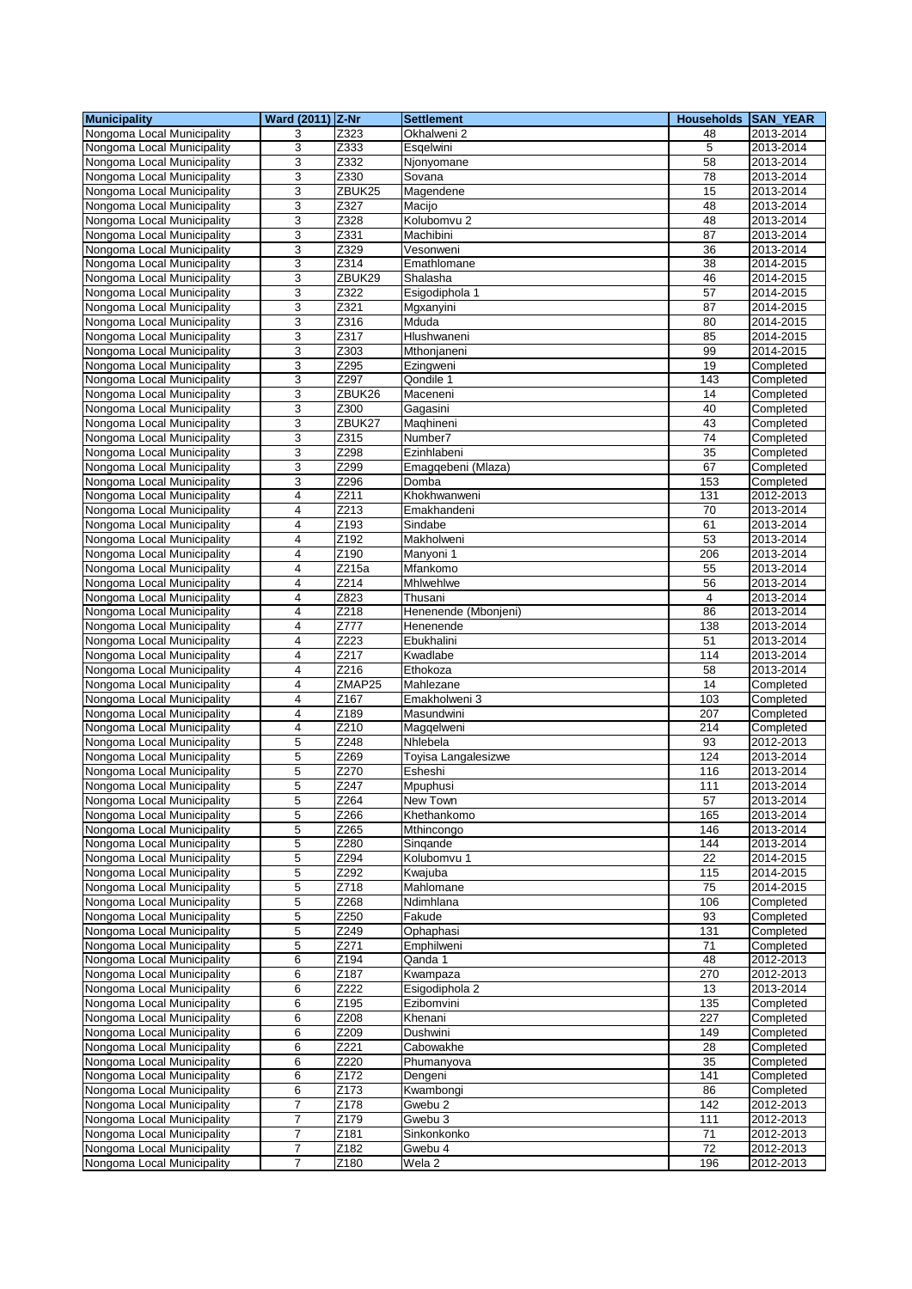| <b>Municipality</b>                                      | <b>Ward (2011) Z-Nr</b>          |                    | <b>Settlement</b>      | Households SAN_YEAR |                        |
|----------------------------------------------------------|----------------------------------|--------------------|------------------------|---------------------|------------------------|
| Nongoma Local Municipality                               | 3                                | Z323               | Okhalweni 2            | 48                  | 2013-2014              |
| Nongoma Local Municipality                               | 3                                | Z333               | Esqelwini              | 5                   | 2013-2014              |
| Nongoma Local Municipality                               | 3                                | Z332               | Njonyomane             | 58                  | 2013-2014              |
| Nongoma Local Municipality                               | 3                                | Z330               | Sovana                 | 78                  | 2013-2014              |
| Nongoma Local Municipality                               | 3                                | ZBUK25             | Magendene              | 15                  | 2013-2014              |
| Nongoma Local Municipality                               | 3                                | Z327               | Macijo                 | 48                  | 2013-2014              |
| Nongoma Local Municipality                               | 3                                | Z328               | Kolubomvu 2            | 48                  | 2013-2014              |
| Nongoma Local Municipality                               | 3                                | Z331               | Machibini              | 87                  | 2013-2014              |
| Nongoma Local Municipality                               | 3                                | Z329               | Vesonweni              | 36                  | 2013-2014              |
| Nongoma Local Municipality                               | 3                                | Z314               | Emathlomane            | $\overline{38}$     | 2014-2015              |
| Nongoma Local Municipality                               | 3                                | ZBUK29             | Shalasha               | 46                  | 2014-2015              |
| Nongoma Local Municipality                               | 3                                | Z322               | Esigodiphola 1         | 57                  | 2014-2015              |
| Nongoma Local Municipality<br>Nongoma Local Municipality | 3<br>3                           | Z321<br>Z316       | Mgxanyini<br>Mduda     | 87<br>80            | 2014-2015<br>2014-2015 |
| Nongoma Local Municipality                               | 3                                | $\overline{Z}317$  | Hlushwaneni            | 85                  | 2014-2015              |
| Nongoma Local Municipality                               | 3                                | Z303               | Mthonjaneni            | 99                  | 2014-2015              |
| Nongoma Local Municipality                               | 3                                | Z <sub>295</sub>   | Ezingweni              | 19                  | Completed              |
| Nongoma Local Municipality                               | 3                                | Z297               | Qondile 1              | 143                 | Completed              |
| Nongoma Local Municipality                               | 3                                | ZBUK26             | Maceneni               | 14                  | Completed              |
| Nongoma Local Municipality                               | 3                                | Z300               | Gagasini               | 40                  | Completed              |
| Nongoma Local Municipality                               | 3                                | ZBUK27             | Maghineni              | 43                  | Completed              |
| Nongoma Local Municipality                               | 3                                | Z315               | Number7                | 74                  | Completed              |
| Nongoma Local Municipality                               | 3                                | Z298               | Ezinhlabeni            | 35                  | Completed              |
| Nongoma Local Municipality                               | 3                                | Z299               | Emaggebeni (Mlaza)     | 67                  | Completed              |
| Nongoma Local Municipality                               | 3                                | Z296               | Domba                  | 153                 | Completed              |
| Nongoma Local Municipality                               | 4                                | Z211               | Khokhwanweni           | 131                 | 2012-2013              |
| Nongoma Local Municipality                               | 4                                | Z213               | Emakhandeni            | 70                  | 2013-2014              |
| Nongoma Local Municipality                               | 4                                | Z193               | Sindabe                | 61                  | 2013-2014              |
| Nongoma Local Municipality                               | $\overline{4}$                   | Z192               | Makholweni             | 53                  | 2013-2014              |
| Nongoma Local Municipality                               | 4                                | Z190               | Manyoni 1              | 206                 | 2013-2014              |
| Nongoma Local Municipality                               | 4                                | $\overline{Z}215a$ | Mfankomo               | 55                  | 2013-2014              |
| Nongoma Local Municipality                               | 4                                | Z214               | Mhlwehlwe              | 56                  | 2013-2014              |
| Nongoma Local Municipality                               | 4                                | Z823               | Thusani                | $\overline{4}$      | 2013-2014              |
| Nongoma Local Municipality                               | $\overline{4}$                   | Z218               | Henenende (Mbonjeni)   | 86                  | 2013-2014              |
| Nongoma Local Municipality                               | $\overline{4}$<br>$\overline{4}$ | Z777<br>Z223       | Henenende              | 138                 | 2013-2014              |
| Nongoma Local Municipality<br>Nongoma Local Municipality | 4                                | Z217               | Ebukhalini<br>Kwadlabe | 51<br>114           | 2013-2014<br>2013-2014 |
| Nongoma Local Municipality                               | 4                                | Z216               | Ethokoza               | 58                  | 2013-2014              |
| Nongoma Local Municipality                               | 4                                | ZMAP25             | Mahlezane              | 14                  | Completed              |
| Nongoma Local Municipality                               | $\overline{\mathbf{4}}$          | Z167               | Emakholweni 3          | 103                 | Completed              |
| Nongoma Local Municipality                               | $\overline{4}$                   | Z189               | Masundwini             | 207                 | Completed              |
| Nongoma Local Municipality                               | 4                                | Z210               | Maggelweni             | 214                 | Completed              |
| Nongoma Local Municipality                               | 5                                | Z248               | Nhlebela               | 93                  | 2012-2013              |
| Nongoma Local Municipality                               | 5                                | Z269               | Toyisa Langalesizwe    | 124                 | 2013-2014              |
| Nongoma Local Municipality                               | 5                                | Z270               | Esheshi                | 116                 | 2013-2014              |
| Nongoma Local Municipality                               | 5                                | Z247               | Mpuphusi               | 111                 | 2013-2014              |
| Nongoma Local Municipality                               | b                                | Z264               | New Town               | 57                  | 2013-2014              |
| Nongoma Local Municipality                               | 5                                | Z266               | Khethankomo            | 165                 | 2013-2014              |
| Nongoma Local Municipality                               | 5                                | Z265               | Mthincongo             | 146                 | 2013-2014              |
| Nongoma Local Municipality                               | 5                                | Z280               | Singande               | 144                 | 2013-2014              |
| Nongoma Local Municipality                               | 5                                | Z294               | Kolubomvu 1            | 22                  | 2014-2015              |
| Nongoma Local Municipality                               | 5                                | Z292               | Kwajuba                | 115                 | 2014-2015              |
| Nongoma Local Municipality                               | 5                                | Z718               | Mahlomane              | 75                  | 2014-2015              |
| Nongoma Local Municipality<br>Nongoma Local Municipality | 5<br>5                           | Z268<br>Z250       | Ndimhlana<br>Fakude    | 106<br>93           | Completed              |
| Nongoma Local Municipality                               | 5                                | Z249               | Ophaphasi              | 131                 | Completed<br>Completed |
| Nongoma Local Municipality                               | 5                                | Z271               | Emphilweni             | 71                  | Completed              |
| Nongoma Local Municipality                               | 6                                | Z194               | Qanda 1                | 48                  | 2012-2013              |
| Nongoma Local Municipality                               | 6                                | Z <sub>187</sub>   | Kwampaza               | 270                 | 2012-2013              |
| Nongoma Local Municipality                               | 6                                | $\overline{Z}222$  | Esigodiphola 2         | 13                  | 2013-2014              |
| Nongoma Local Municipality                               | 6                                | Z195               | Ezibomvini             | 135                 | Completed              |
| Nongoma Local Municipality                               | 6                                | Z208               | Khenani                | 227                 | Completed              |
| Nongoma Local Municipality                               | 6                                | Z209               | Dushwini               | 149                 | Completed              |
| Nongoma Local Municipality                               | 6                                | Z221               | Cabowakhe              | 28                  | Completed              |
| Nongoma Local Municipality                               | 6                                | Z220               | Phumanyova             | 35                  | Completed              |
| Nongoma Local Municipality                               | 6                                | Z172               | Dengeni                | 141                 | Completed              |
| Nongoma Local Municipality                               | 6                                | Z173               | Kwambongi              | 86                  | Completed              |
| Nongoma Local Municipality                               | 7                                | Z178               | Gwebu 2                | 142                 | 2012-2013              |
| Nongoma Local Municipality                               | $\overline{7}$                   | Z179               | Gwebu 3                | 111                 | 2012-2013              |
| Nongoma Local Municipality                               | 7                                | Z181               | Sinkonkonko            | 71                  | 2012-2013              |
| Nongoma Local Municipality                               | 7                                | Z182               | Gwebu 4                | $\overline{72}$     | 2012-2013              |
| Nongoma Local Municipality                               | $\overline{7}$                   | Z180               | Wela <sub>2</sub>      | 196                 | 2012-2013              |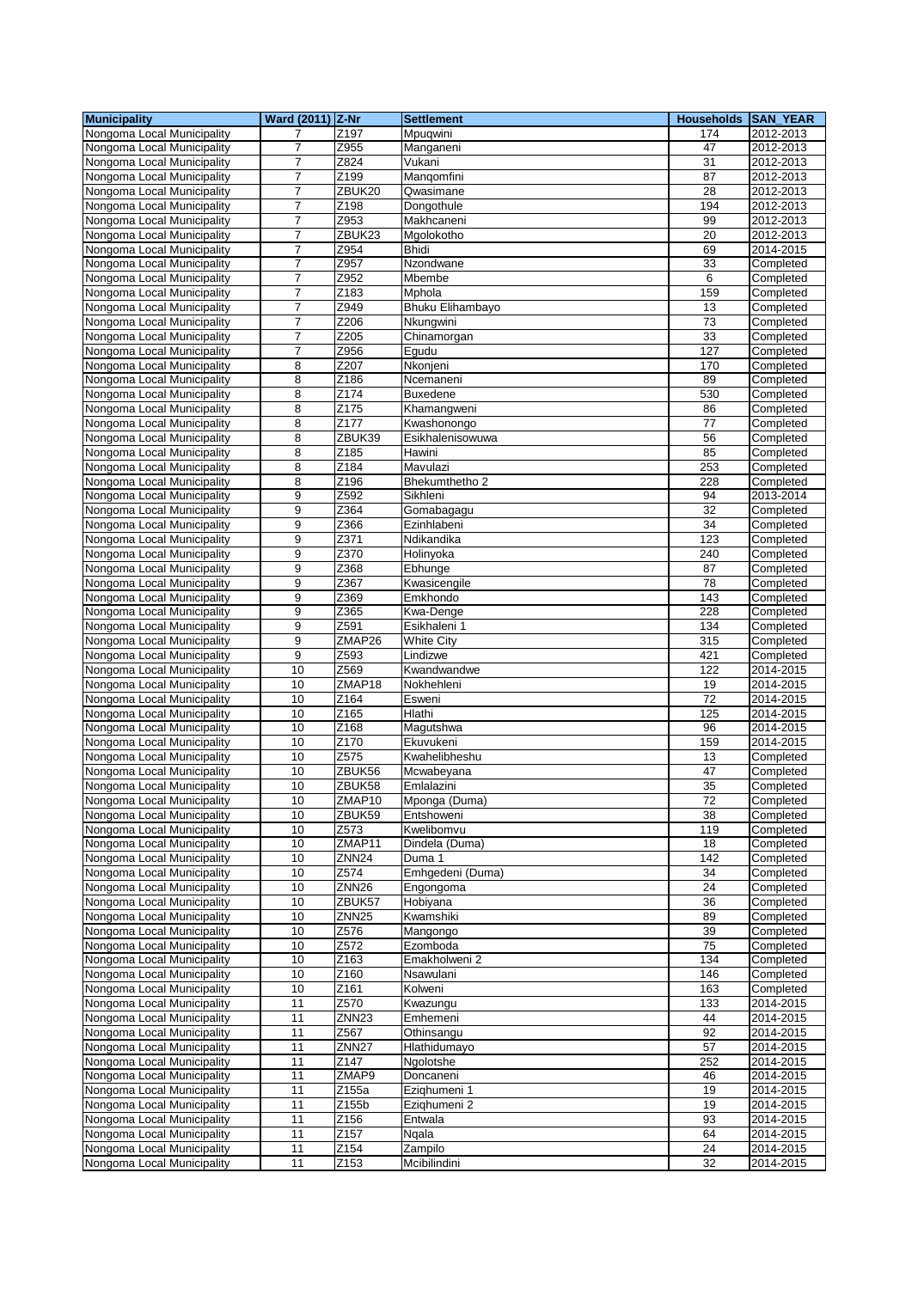| <b>Municipality</b>                                      | Ward (2011) Z-Nr    |                   | <b>Settlement</b>           | Households SAN_YEAR   |                        |
|----------------------------------------------------------|---------------------|-------------------|-----------------------------|-----------------------|------------------------|
| Nongoma Local Municipality                               | 7                   | Z197              | Mpuqwini                    | 174                   | 2012-2013              |
| Nongoma Local Municipality                               | 7                   | Z955              | Manganeni                   | 47                    | 2012-2013              |
| Nongoma Local Municipality                               | 7                   | Z824              | Vukani                      | 31                    | 2012-2013              |
| Nongoma Local Municipality                               | 7                   | Z199              | Mangomfini                  | 87                    | 2012-2013              |
| Nongoma Local Municipality                               | $\overline{7}$      | ZBUK20            | Qwasimane                   | 28                    | 2012-2013              |
| Nongoma Local Municipality                               | 7                   | Z198              | Dongothule                  | 194                   | 2012-2013              |
| Nongoma Local Municipality                               | 7                   | Z953              | Makhcaneni                  | 99                    | 2012-2013              |
| Nongoma Local Municipality                               | $\overline{7}$      | ZBUK23            | Mgolokotho                  | 20                    | 2012-2013              |
| Nongoma Local Municipality                               | 7                   | Z954              | <b>Bhidi</b>                | 69                    | 2014-2015              |
| Nongoma Local Municipality                               | 7                   | Z957              | Nzondwane                   | 33                    | Completed              |
| Nongoma Local Municipality                               | 7                   | Z952              | Mbembe                      | 6                     | Completed              |
| Nongoma Local Municipality                               | $\overline{7}$      | Z <sub>183</sub>  | Mphola                      | 159                   | Completed              |
| Nongoma Local Municipality                               | $\overline{7}$      | Z949              | Bhuku Elihambayo            | 13                    | Completed              |
| Nongoma Local Municipality                               | 7                   | Z206<br>Z205      | Nkungwini                   | $\overline{73}$<br>33 | Completed              |
| Nongoma Local Municipality                               | $\overline{7}$      |                   | Chinamorgan                 | 127                   | Completed              |
| Nongoma Local Municipality<br>Nongoma Local Municipality | $\overline{7}$<br>8 | Z956<br>Z207      | Egudu<br>Nkonjeni           | 170                   | Completed<br>Completed |
| Nongoma Local Municipality                               | 8                   | Z186              | Ncemaneni                   | 89                    | Completed              |
| Nongoma Local Municipality                               | 8                   | Z174              | <b>Buxedene</b>             | 530                   | Completed              |
| Nongoma Local Municipality                               | 8                   | Z175              | Khamangweni                 | 86                    | Completed              |
| Nongoma Local Municipality                               | 8                   | Z177              | Kwashonongo                 | 77                    | Completed              |
| Nongoma Local Municipality                               | 8                   | ZBUK39            | Esikhalenisowuwa            | 56                    | Completed              |
| Nongoma Local Municipality                               | 8                   | Z185              | Hawini                      | 85                    | Completed              |
| Nongoma Local Municipality                               | 8                   | Z184              | Mavulazi                    | 253                   | Completed              |
| Nongoma Local Municipality                               | 8                   | Z196              | Bhekumthetho 2              | 228                   | Completed              |
| Nongoma Local Municipality                               | 9                   | Z592              | Sikhleni                    | 94                    | 2013-2014              |
| Nongoma Local Municipality                               | 9                   | Z364              | Gomabagagu                  | 32                    | Completed              |
| Nongoma Local Municipality                               | 9                   | Z366              | Ezinhlabeni                 | 34                    | Completed              |
| Nongoma Local Municipality                               | 9                   | Z371              | Ndikandika                  | 123                   | Completed              |
| Nongoma Local Municipality                               | 9                   | Z370              | Holinyoka                   | 240                   | Completed              |
| Nongoma Local Municipality                               | 9                   | Z368              | Ebhunge                     | 87                    | Completed              |
| Nongoma Local Municipality                               | 9                   | Z367              | Kwasicengile                | 78                    | Completed              |
| Nongoma Local Municipality                               | 9                   | Z369              | Emkhondo                    | 143                   | Completed              |
| Nongoma Local Municipality                               | 9                   | Z365              | Kwa-Denge                   | 228                   | Completed              |
| Nongoma Local Municipality                               | 9                   | Z591              | Esikhaleni 1                | 134                   | Completed              |
| Nongoma Local Municipality                               | 9                   | ZMAP26            | <b>White City</b>           | 315                   | Completed              |
| Nongoma Local Municipality                               | 9                   | Z593              | Lindizwe                    | 421                   | Completed              |
| Nongoma Local Municipality                               | 10                  | Z569              | Kwandwandwe                 | 122                   | 2014-2015              |
| Nongoma Local Municipality                               | 10                  | ZMAP18            | Nokhehleni                  | 19                    | 2014-2015              |
| Nongoma Local Municipality                               | 10                  | Z164              | Esweni                      | $\overline{72}$       | 2014-2015              |
| Nongoma Local Municipality                               | 10                  | Z165              | <b>Hlathi</b>               | 125                   | 2014-2015              |
| Nongoma Local Municipality                               | 10                  | Z168              | Magutshwa                   | 96                    | 2014-2015              |
| Nongoma Local Municipality                               | 10                  | Z170              | Ekuvukeni                   | 159                   | 2014-2015              |
| Nongoma Local Municipality                               | 10                  | Z575              | Kwahelibheshu               | 13                    | Completed              |
| Nongoma Local Municipality                               | 10                  | ZBUK56            | Mcwabeyana                  | 47                    | Completed              |
| Nongoma Local Municipality                               | 10                  | ZBUK58            | Emlalazini                  | 35                    | Completed              |
| Nongoma Local Municipality<br>Nongoma Local Municipality | 10<br>10            | ∠MAP10<br>ZBUK59  | Mponga (Duma)<br>Entshoweni | 72<br>38              | Completed<br>Completed |
| Nongoma Local Municipality                               | 10                  | Z573              | Kwelibomvu                  | 119                   | Completed              |
| Nongoma Local Municipality                               | 10                  | ZMAP11            | Dindela (Duma)              | 18                    | Completed              |
| Nongoma Local Municipality                               | 10                  | ZNN24             | Duma 1                      | 142                   | Completed              |
| Nongoma Local Municipality                               | 10                  | Z574              | Emhgedeni (Duma)            | 34                    | Completed              |
| Nongoma Local Municipality                               | 10                  | ZNN <sub>26</sub> | Engongoma                   | 24                    | Completed              |
| Nongoma Local Municipality                               | 10                  | ZBUK57            | Hobiyana                    | 36                    | Completed              |
| Nongoma Local Municipality                               | 10                  | ZNN <sub>25</sub> | Kwamshiki                   | 89                    | Completed              |
| Nongoma Local Municipality                               | 10                  | Z576              | Mangongo                    | 39                    | Completed              |
| Nongoma Local Municipality                               | 10                  | Z572              | Ezomboda                    | $\overline{75}$       | Completed              |
| Nongoma Local Municipality                               | 10                  | Z163              | Emakholweni 2               | 134                   | Completed              |
| Nongoma Local Municipality                               | 10                  | Z160              | Nsawulani                   | 146                   | Completed              |
| Nongoma Local Municipality                               | 10                  | Z161              | Kolweni                     | 163                   | Completed              |
| Nongoma Local Municipality                               | 11                  | Z570              | Kwazungu                    | 133                   | 2014-2015              |
| Nongoma Local Municipality                               | 11                  | ZNN <sub>23</sub> | Emhemeni                    | 44                    | 2014-2015              |
| Nongoma Local Municipality                               | 11                  | Z567              | Othinsangu                  | 92                    | 2014-2015              |
| Nongoma Local Municipality                               | 11                  | ZNN <sub>27</sub> | Hlathidumayo                | 57                    | 2014-2015              |
| Nongoma Local Municipality                               | 11                  | Z147              | Ngolotshe                   | 252                   | 2014-2015              |
| Nongoma Local Municipality                               | 11                  | ZMAP9             | Doncaneni                   | 46                    | 2014-2015              |
| Nongoma Local Municipality                               | 11                  | Z155a             | Ezighumeni 1                | 19                    | 2014-2015              |
| Nongoma Local Municipality                               | 11                  | Z155b             | Ezighumeni 2                | 19                    | 2014-2015              |
| Nongoma Local Municipality                               | 11                  | Z156              | Entwala                     | 93                    | 2014-2015              |
| Nongoma Local Municipality                               | 11                  | Z157              | Ngala                       | 64                    | 2014-2015              |
| Nongoma Local Municipality                               | 11                  | Z154              | Zampilo                     | 24                    | 2014-2015              |
| Nongoma Local Municipality                               | 11                  | Z153              | Mcibilindini                | 32                    | 2014-2015              |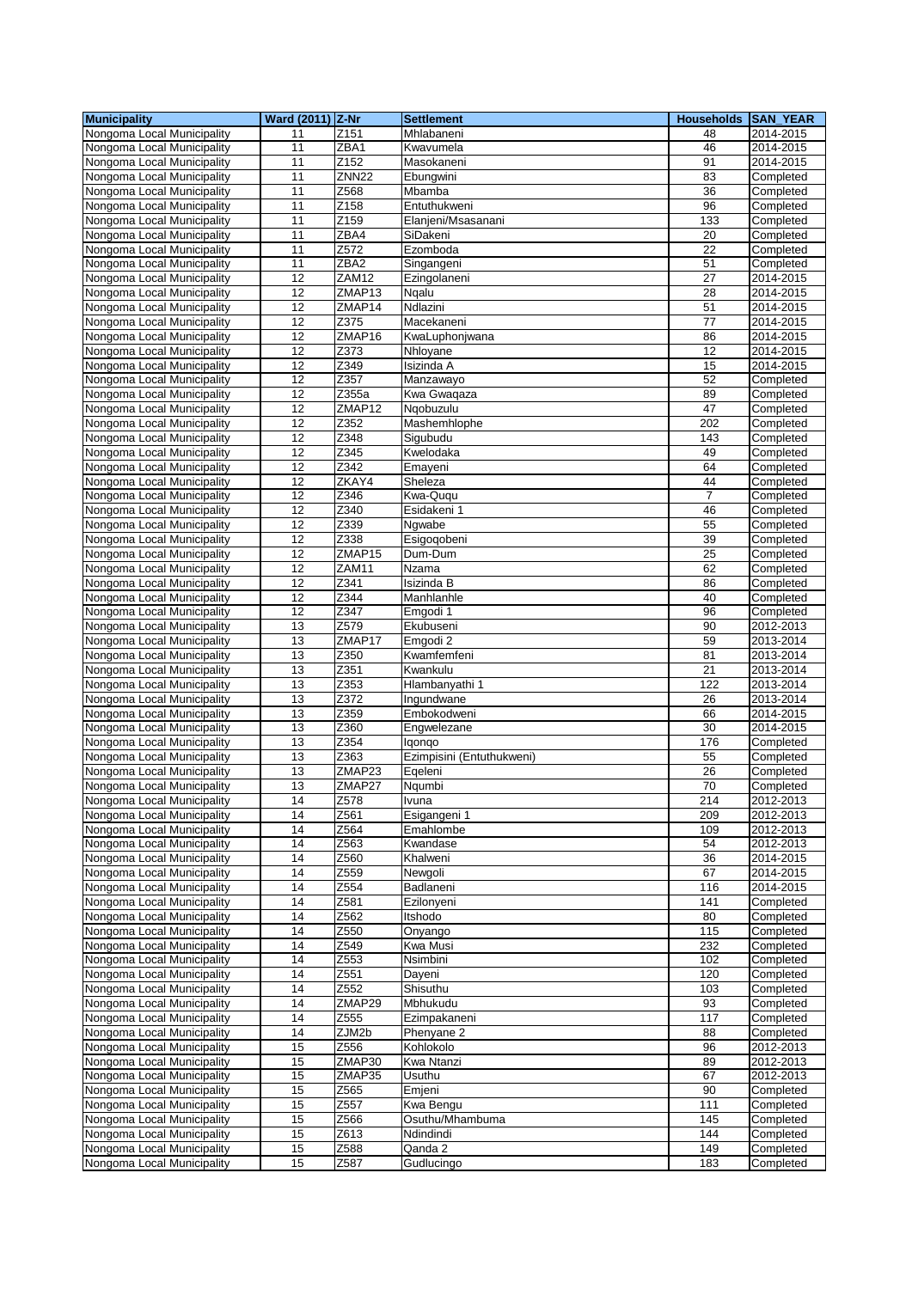| <b>Municipality</b>        | Ward (2011) Z-Nr |                  | <b>Settlement</b>            | <b>Households</b> | <b>SAN YEAR</b> |
|----------------------------|------------------|------------------|------------------------------|-------------------|-----------------|
| Nongoma Local Municipality | 11               | Z151             | Mhlabaneni                   | 48                | 2014-2015       |
| Nongoma Local Municipality | 11               | ZBA1             | Kwavumela                    | 46                | 2014-2015       |
| Nongoma Local Municipality | 11               | Z152             | Masokaneni                   | 91                | 2014-2015       |
| Nongoma Local Municipality | 11               | ZNN22            | Ebungwini                    | 83                | Completed       |
| Nongoma Local Municipality | 11               | Z568             | Mbamba                       | 36                | Completed       |
| Nongoma Local Municipality | 11               | Z158             | Entuthukweni                 | 96                | Completed       |
| Nongoma Local Municipality | 11               | Z159             | Elanjeni/Msasanani           | 133               |                 |
|                            |                  |                  |                              |                   | Completed       |
| Nongoma Local Municipality | 11               | ZBA4             | SiDakeni                     | 20                | Completed       |
| Nongoma Local Municipality | 11               | Z572             | Ezomboda                     | 22                | Completed       |
| Nongoma Local Municipality | 11               | ZBA2             | Singangeni                   | 51                | Completed       |
| Nongoma Local Municipality | 12               | ZAM12            | Ezingolaneni                 | 27                | 2014-2015       |
| Nongoma Local Municipality | 12               | ZMAP13           | Ngalu                        | 28                | 2014-2015       |
| Nongoma Local Municipality | 12               | ZMAP14           | Ndlazini                     | 51                | 2014-2015       |
| Nongoma Local Municipality | $\overline{12}$  | Z375             | Macekaneni                   | 77                | 2014-2015       |
| Nongoma Local Municipality | 12               | ZMAP16           | KwaLuphonjwana               | 86                | 2014-2015       |
| Nongoma Local Municipality | 12               | Z373             | Nhloyane                     | 12                | 2014-2015       |
| Nongoma Local Municipality | 12               | Z349             | Isizinda A                   | 15                | 2014-2015       |
| Nongoma Local Municipality | 12               | Z357             | Manzawayo                    | 52                | Completed       |
| Nongoma Local Municipality | 12               | Z355a            | Kwa Gwaqaza                  | 89                | Completed       |
| Nongoma Local Municipality | 12               | ZMAP12           | Ngobuzulu                    | 47                | Completed       |
| Nongoma Local Municipality | 12               | Z352             | Mashemhlophe                 | 202               | Completed       |
|                            | 12               | Z348             |                              | 143               | Completed       |
| Nongoma Local Municipality |                  |                  | Sigubudu                     |                   |                 |
| Nongoma Local Municipality | 12               | Z345             | Kwelodaka                    | 49                | Completed       |
| Nongoma Local Municipality | 12               | Z342             | Emayeni                      | 64                | Completed       |
| Nongoma Local Municipality | 12               | ZKAY4            | Sheleza                      | 44                | Completed       |
| Nongoma Local Municipality | $\overline{12}$  | Z346             | Kwa-Ququ                     | $\overline{7}$    | Completed       |
| Nongoma Local Municipality | 12               | Z340             | Esidakeni 1                  | 46                | Completed       |
| Nongoma Local Municipality | 12               | Z339             | Ngwabe                       | 55                | Completed       |
| Nongoma Local Municipality | 12               | Z338             | Esigoqobeni                  | 39                | Completed       |
| Nongoma Local Municipality | 12               | ZMAP15           | Dum-Dum                      | 25                | Completed       |
| Nongoma Local Municipality | 12               | ZAM11            | Nzama                        | 62                | Completed       |
| Nongoma Local Municipality | 12               | Z341             | Isizinda B                   | 86                | Completed       |
| Nongoma Local Municipality | 12               | Z344             | Manhlanhle                   | 40                | Completed       |
| Nongoma Local Municipality | 12               | Z347             | Emgodi 1                     | 96                | Completed       |
|                            |                  |                  |                              |                   |                 |
| Nongoma Local Municipality | 13               | Z579             | Ekubuseni                    | 90                | 2012-2013       |
| Nongoma Local Municipality | 13               | ZMAP17           | Emgodi 2                     | 59                | 2013-2014       |
| Nongoma Local Municipality | 13               | Z350             | Kwamfemfeni                  | 81                | 2013-2014       |
| Nongoma Local Municipality | 13               | Z351             | Kwankulu                     | 21                | 2013-2014       |
| Nongoma Local Municipality | 13               | Z353             | Hlambanyathi 1               | 122               | 2013-2014       |
| Nongoma Local Municipality | 13               | Z372             | Ingundwane                   | 26                | 2013-2014       |
| Nongoma Local Municipality | 13               | Z359             | Embokodweni                  | 66                | 2014-2015       |
| Nongoma Local Municipality | 13               | Z360             | Engwelezane                  | 30                | 2014-2015       |
| Nongoma Local Municipality | 13               | Z354             | lgongo                       | 176               | Completed       |
| Nongoma Local Municipality | 13               | Z363             | Ezimpisini (Entuthukweni)    | 55                | Completed       |
| Nongoma Local Municipality | 13               | ZMAP23           | Eqeleni                      | 26                | Completed       |
| Nongoma Local Municipality | 13               | ZMAP27           | Ngumbi                       | 70                | Completed       |
| Nongoma Local Municipality | $\overline{14}$  | Z578             |                              | $\overline{214}$  | 2012-2013       |
| Nongoma Local Municipality | 14               | Z561             | <u>ivuna</u><br>Esigangeni 1 | 209               | 2012-2013       |
|                            | 14               | Z564             |                              | 109               |                 |
| Nongoma Local Municipality |                  |                  | Emahlombe                    |                   | 2012-2013       |
| Nongoma Local Municipality | 14               | Z <sub>563</sub> | Kwandase                     | 54                | 2012-2013       |
| Nongoma Local Municipality | 14               | Z560             | Khalweni                     | 36                | 2014-2015       |
| Nongoma Local Municipality | 14               | Z559             | Newgoli                      | 67                | 2014-2015       |
| Nongoma Local Municipality | 14               | Z554             | Badlaneni                    | 116               | 2014-2015       |
| Nongoma Local Municipality | 14               | Z581             | Ezilonyeni                   | 141               | Completed       |
| Nongoma Local Municipality | 14               | Z562             | Itshodo                      | 80                | Completed       |
| Nongoma Local Municipality | 14               | Z550             | Onyango                      | 115               | Completed       |
| Nongoma Local Municipality | 14               | Z549             | Kwa Musi                     | 232               | Completed       |
| Nongoma Local Municipality | 14               | Z553             | Nsimbini                     | 102               | Completed       |
| Nongoma Local Municipality | 14               | Z551             | Dayeni                       | 120               | Completed       |
| Nongoma Local Municipality | 14               | Z552             | Shisuthu                     | 103               | Completed       |
| Nongoma Local Municipality | 14               | ZMAP29           | Mbhukudu                     | 93                | Completed       |
| Nongoma Local Municipality | 14               | Z555             | Ezimpakaneni                 | 117               | Completed       |
|                            |                  |                  |                              |                   |                 |
| Nongoma Local Municipality | 14               | ZJM2b            | Phenyane 2                   | 88                | Completed       |
| Nongoma Local Municipality | 15               | Z556             | Kohlokolo                    | 96                | 2012-2013       |
| Nongoma Local Municipality | 15               | ZMAP30           | Kwa Ntanzi                   | 89                | 2012-2013       |
| Nongoma Local Municipality | 15               | ZMAP35           | Usuthu                       | 67                | 2012-2013       |
| Nongoma Local Municipality | 15               | Z <sub>565</sub> | Emjeni                       | 90                | Completed       |
| Nongoma Local Municipality | 15               | Z557             | Kwa Bengu                    | 111               | Completed       |
| Nongoma Local Municipality | 15               | Z566             | Osuthu/Mhambuma              | 145               | Completed       |
| Nongoma Local Municipality | 15               | Z613             | Ndindindi                    | 144               | Completed       |
| Nongoma Local Municipality | 15               | Z588             | Qanda 2                      | 149               | Completed       |
| Nongoma Local Municipality | 15               | Z587             | Gudlucingo                   | 183               | Completed       |
|                            |                  |                  |                              |                   |                 |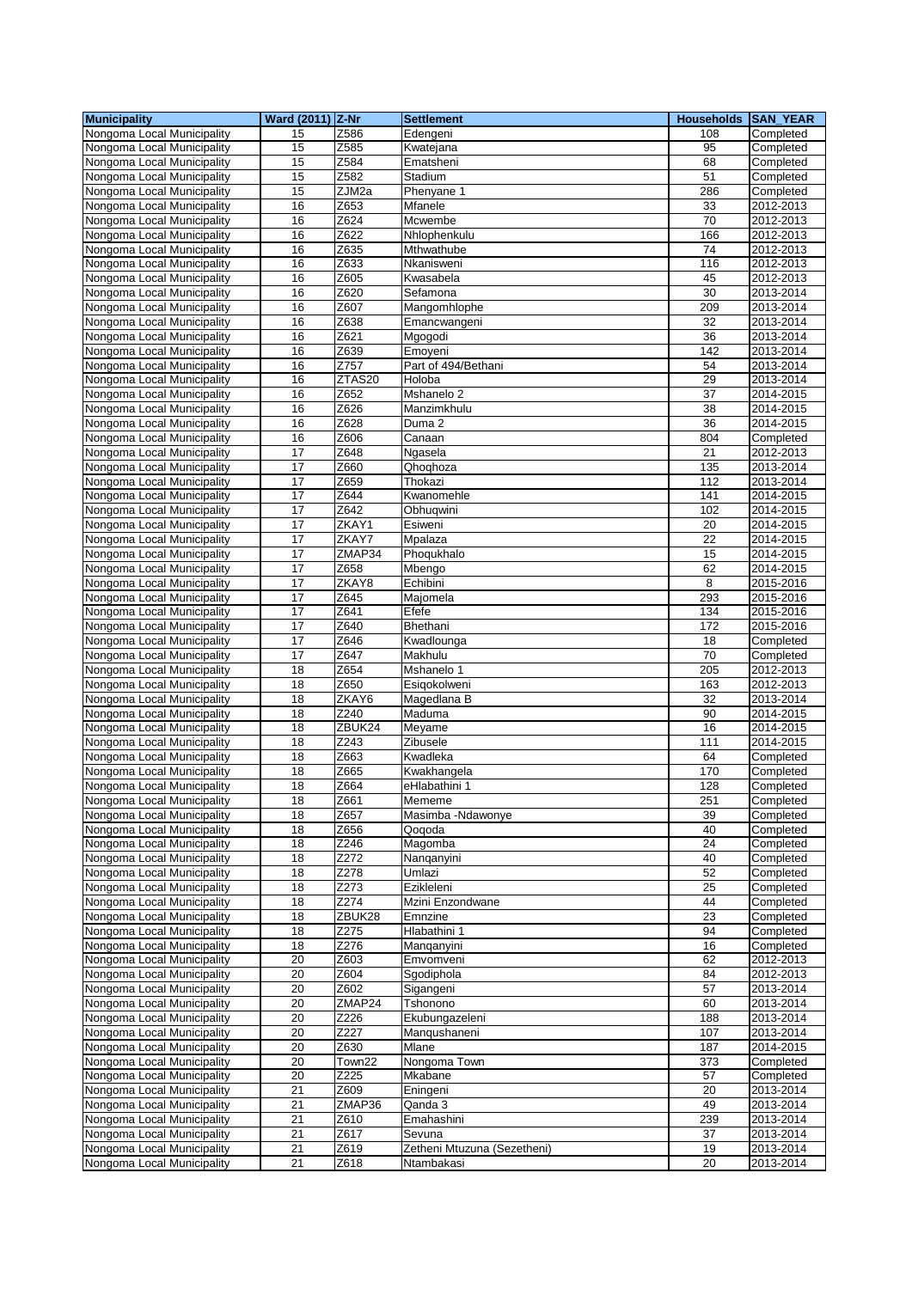| <b>Municipality</b>                                      | Ward (2011) Z-Nr |                   | <b>Settlement</b>           | Households SAN_YEAR |                        |
|----------------------------------------------------------|------------------|-------------------|-----------------------------|---------------------|------------------------|
| Nongoma Local Municipality                               | 15               | Z586              | Edengeni                    | 108                 | Completed              |
| Nongoma Local Municipality                               | 15               | Z585              | Kwatejana                   | 95                  | Completed              |
| Nongoma Local Municipality                               | 15               | Z584              | Ematsheni                   | 68                  | Completed              |
| Nongoma Local Municipality                               | 15               | Z582              | Stadium                     | 51                  | Completed              |
| Nongoma Local Municipality                               | 15               | ZJM2a             | Phenyane 1                  | 286                 | Completed              |
| Nongoma Local Municipality                               | 16               | Z653              | Mfanele                     | 33                  | 2012-2013              |
| Nongoma Local Municipality                               | 16               | Z624              | Mcwembe                     | 70                  | 2012-2013              |
| Nongoma Local Municipality                               | 16               | Z622              | Nhlophenkulu                | 166                 | 2012-2013              |
| Nongoma Local Municipality                               | 16               | Z635              | Mthwathube                  | 74                  | 2012-2013              |
| Nongoma Local Municipality                               | 16               | Z633              | Nkanisweni                  | 116                 | 2012-2013              |
| Nongoma Local Municipality                               | 16               | Z605              | Kwasabela                   | 45                  | 2012-2013              |
| Nongoma Local Municipality                               | 16               | Z620              | Sefamona                    | 30                  | 2013-2014              |
| Nongoma Local Municipality                               | 16               | Z607              | Mangomhlophe                | 209                 | 2013-2014              |
| Nongoma Local Municipality                               | 16               | Z638              | Emancwangeni                | 32                  | 2013-2014              |
| Nongoma Local Municipality                               | 16               | Z621              | Mgogodi                     | 36                  | 2013-2014              |
| Nongoma Local Municipality                               | 16               | Z639              | Emoyeni                     | 142                 | 2013-2014              |
| Nongoma Local Municipality                               | 16               | Z757              | Part of 494/Bethani         | 54                  | 2013-2014              |
| Nongoma Local Municipality                               | 16               | ZTAS20            | Holoba                      | 29                  | 2013-2014              |
| Nongoma Local Municipality                               | 16               | Z652              | Mshanelo 2                  | 37                  | 2014-2015              |
| Nongoma Local Municipality                               | 16               | Z626              | Manzimkhulu                 | 38                  | 2014-2015              |
| Nongoma Local Municipality                               | 16               | Z628              | Duma <sub>2</sub>           | 36                  | 2014-2015              |
| Nongoma Local Municipality                               | 16               | Z606              | Canaan                      | 804                 | Completed              |
| Nongoma Local Municipality                               | 17               | Z648              | Ngasela                     | 21                  | 2012-2013              |
| Nongoma Local Municipality                               | 17               | Z660              | Qhoqhoza                    | 135                 | 2013-2014              |
| Nongoma Local Municipality                               | 17               | Z659              | Thokazi                     | 112                 | 2013-2014              |
| Nongoma Local Municipality                               | $\overline{17}$  | Z644              | Kwanomehle                  | 141                 | 2014-2015              |
| Nongoma Local Municipality                               | 17               | $\overline{Z642}$ | Obhuqwini                   | 102                 | 2014-2015              |
| Nongoma Local Municipality                               | 17               | ZKAY1             | Esiweni                     | 20                  | 2014-2015              |
| Nongoma Local Municipality                               | $\overline{17}$  | ZKAY7             | Mpalaza                     | 22                  | 2014-2015              |
| Nongoma Local Municipality                               | 17               | ZMAP34            | Phoqukhalo                  | 15                  | 2014-2015              |
| Nongoma Local Municipality                               | 17               | Z658              | Mbengo                      | 62                  | 2014-2015              |
| Nongoma Local Municipality                               | 17               | ZKAY8             | Echibini                    | 8                   | 2015-2016              |
| Nongoma Local Municipality                               | $\overline{17}$  | Z645              | Majomela                    | 293                 | 2015-2016              |
| Nongoma Local Municipality                               | 17               | Z641              | Efefe                       | 134                 | 2015-2016              |
| Nongoma Local Municipality                               | 17               | Z640              | Bhethani                    | 172                 | 2015-2016              |
| Nongoma Local Municipality                               | 17               | Z646              | Kwadlounga                  | 18                  | Completed              |
| Nongoma Local Municipality                               | 17               | Z647              | Makhulu                     | 70                  | Completed              |
| Nongoma Local Municipality                               | 18               | Z654              | Mshanelo 1                  | 205                 | 2012-2013              |
| Nongoma Local Municipality                               | 18<br>18         | Z650<br>ZKAY6     | Esigokolweni                | 163<br>32           | 2012-2013<br>2013-2014 |
| Nongoma Local Municipality                               | 18               | Z240              | Magedlana B<br>Maduma       | 90                  | 2014-2015              |
| Nongoma Local Municipality<br>Nongoma Local Municipality | 18               | ZBUK24            | Meyame                      | 16                  |                        |
| Nongoma Local Municipality                               | 18               | Z243              | Zibusele                    | 111                 | 2014-2015              |
| Nongoma Local Municipality                               | 18               | Z663              | Kwadleka                    | 64                  | 2014-2015<br>Completed |
| Nongoma Local Municipality                               | 18               | Z665              | Kwakhangela                 | 170                 | Completed              |
| Nongoma Local Municipality                               | 18               | Z664              | eHlabathini 1               | 128                 | Completed              |
| Nongoma Local Municipality                               | 18               | Z661              | Mememe                      | 251                 |                        |
| Nongoma Local Municipality                               | 18               | Z657              | Masimba -Ndawonye           | 39                  | Completed<br>Completed |
| Nongoma Local Municipality                               | 18               | $\overline{2656}$ | Qoqoda                      | 40                  | Completed              |
| Nongoma Local Municipality                               | 18               | Z246              | Magomba                     | 24                  | Completed              |
| Nongoma Local Municipality                               | 18               | Z272              | Nanganvini                  | 40                  | Completed              |
| Nongoma Local Municipality                               | 18               | Z278              | Umlazi                      | 52                  | Completed              |
| Nongoma Local Municipality                               | 18               | Z273              | Ezikleleni                  | 25                  | Completed              |
| Nongoma Local Municipality                               | 18               | Z274              | Mzini Enzondwane            | 44                  | Completed              |
| Nongoma Local Municipality                               | 18               | ZBUK28            | Emnzine                     | 23                  | Completed              |
| Nongoma Local Municipality                               | 18               | Z275              | Hlabathini 1                | 94                  | Completed              |
| Nongoma Local Municipality                               | 18               | Z276              | Manganyini                  | 16                  | Completed              |
| Nongoma Local Municipality                               | 20               | Z603              | Emvomveni                   | 62                  | 2012-2013              |
| Nongoma Local Municipality                               | $\overline{20}$  | Z604              | Sgodiphola                  | 84                  | 2012-2013              |
| Nongoma Local Municipality                               | 20               | Z602              | Sigangeni                   | 57                  | 2013-2014              |
| Nongoma Local Municipality                               | 20               | ZMAP24            | Tshonono                    | 60                  | 2013-2014              |
| Nongoma Local Municipality                               | 20               | Z226              | Ekubungazeleni              | 188                 | 2013-2014              |
| Nongoma Local Municipality                               | 20               | Z227              | Manqushaneni                | 107                 | 2013-2014              |
| Nongoma Local Municipality                               | 20               | Z630              | Mlane                       | 187                 | 2014-2015              |
| Nongoma Local Municipality                               | 20               | Town22            | Nongoma Town                | 373                 | Completed              |
| Nongoma Local Municipality                               | 20               | $\overline{Z}225$ | Mkabane                     | 57                  | Completed              |
| Nongoma Local Municipality                               | 21               | Z609              | Eningeni                    | 20                  | 2013-2014              |
| Nongoma Local Municipality                               | 21               | ZMAP36            | Qanda 3                     | 49                  | 2013-2014              |
| Nongoma Local Municipality                               | 21               | Z610              | Emahashini                  | 239                 | 2013-2014              |
| Nongoma Local Municipality                               | 21               | Z617              | Sevuna                      | 37                  | 2013-2014              |
| Nongoma Local Municipality                               | 21               | Z619              | Zetheni Mtuzuna (Sezetheni) | 19                  | 2013-2014              |
| Nongoma Local Municipality                               | 21               | Z618              | Ntambakasi                  | 20                  | 2013-2014              |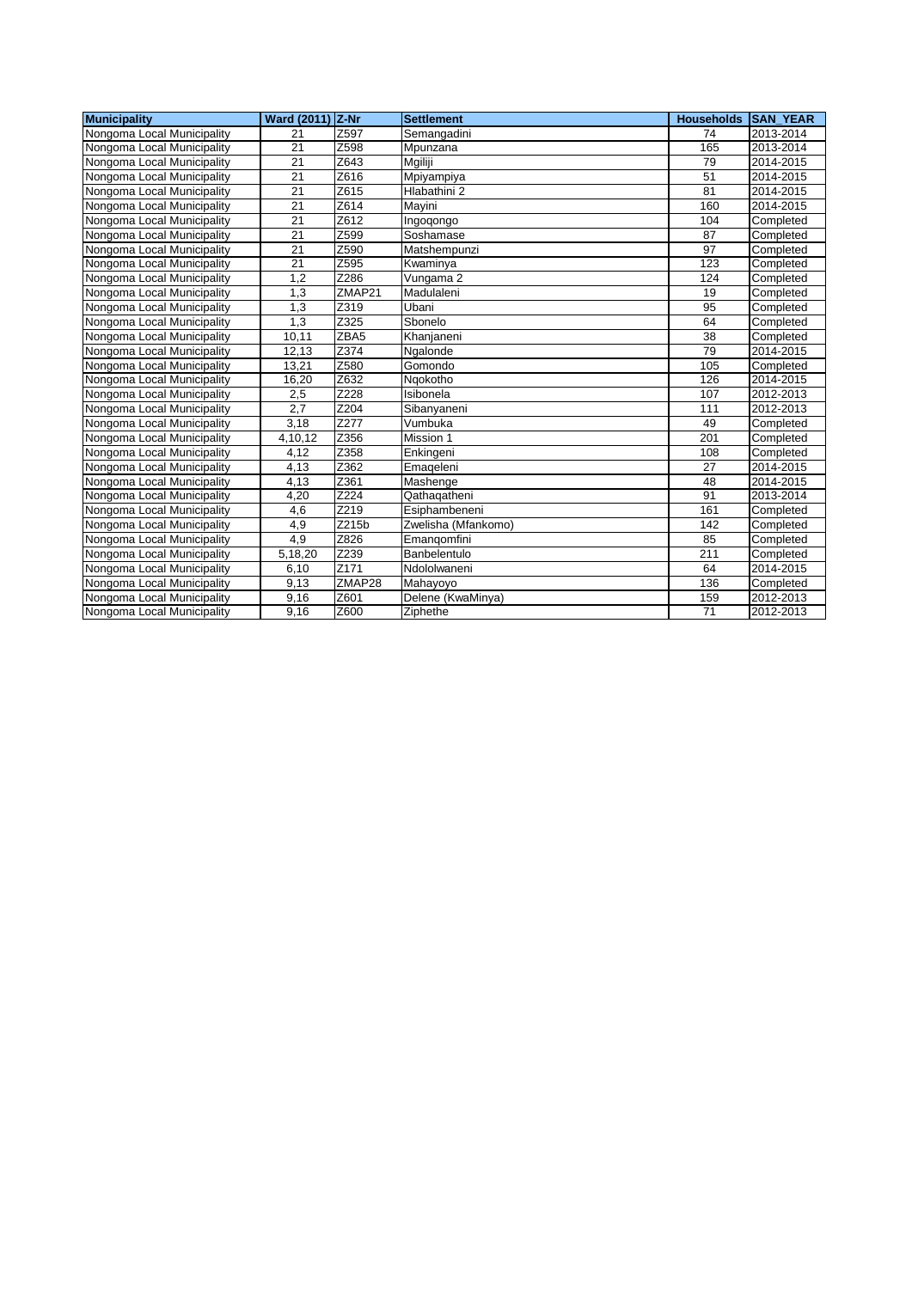| <b>Municipality</b>        | Ward (2011) Z-Nr |        | Settlement          | <b>Households SAN YEAR</b> |           |
|----------------------------|------------------|--------|---------------------|----------------------------|-----------|
| Nongoma Local Municipality | 21               | Z597   | Semangadini         | 74                         | 2013-2014 |
| Nongoma Local Municipality | 21               | Z598   | Mpunzana            | 165                        | 2013-2014 |
| Nongoma Local Municipality | 21               | Z643   | Mgiliji             | 79                         | 2014-2015 |
| Nongoma Local Municipality | 21               | Z616   | Mpiyampiya          | 51                         | 2014-2015 |
| Nongoma Local Municipality | 21               | Z615   | Hlabathini 2        | 81                         | 2014-2015 |
| Nongoma Local Municipality | 21               | Z614   | Mayini              | 160                        | 2014-2015 |
| Nongoma Local Municipality | $\overline{21}$  | Z612   | Ingogongo           | 104                        | Completed |
| Nongoma Local Municipality | 21               | Z599   | Soshamase           | 87                         | Completed |
| Nongoma Local Municipality | 21               | Z590   | Matshempunzi        | 97                         | Completed |
| Nongoma Local Municipality | 21               | Z595   | Kwaminya            | 123                        | Completed |
| Nongoma Local Municipality | 1,2              | Z286   | Vungama 2           | 124                        | Completed |
| Nongoma Local Municipality | 1.3              | ZMAP21 | Madulaleni          | 19                         | Completed |
| Nongoma Local Municipality | 1,3              | Z319   | Ubani               | 95                         | Completed |
| Nongoma Local Municipality | 1.3              | Z325   | Sbonelo             | 64                         | Completed |
| Nongoma Local Municipality | 10,11            | ZBA5   | Khanjaneni          | 38                         | Completed |
| Nongoma Local Municipality | 12,13            | Z374   | Ngalonde            | 79                         | 2014-2015 |
| Nongoma Local Municipality | 13,21            | Z580   | Gomondo             | 105                        | Completed |
| Nongoma Local Municipality | 16,20            | Z632   | Ngokotho            | 126                        | 2014-2015 |
| Nongoma Local Municipality | 2,5              | Z228   | Isibonela           | 107                        | 2012-2013 |
| Nongoma Local Municipality | 2.7              | Z204   | Sibanyaneni         | 111                        | 2012-2013 |
| Nongoma Local Municipality | 3,18             | Z277   | Vumbuka             | 49                         | Completed |
| Nongoma Local Municipality | 4,10,12          | Z356   | Mission 1           | 201                        | Completed |
| Nongoma Local Municipality | 4,12             | Z358   | Enkingeni           | 108                        | Completed |
| Nongoma Local Municipality | 4,13             | Z362   | Emageleni           | 27                         | 2014-2015 |
| Nongoma Local Municipality | 4,13             | Z361   | Mashenge            | 48                         | 2014-2015 |
| Nongoma Local Municipality | 4,20             | Z224   | Qathaqatheni        | 91                         | 2013-2014 |
| Nongoma Local Municipality | 4,6              | Z219   | Esiphambeneni       | 161                        | Completed |
| Nongoma Local Municipality | 4,9              | Z215b  | Zwelisha (Mfankomo) | 142                        | Completed |
| Nongoma Local Municipality | 4,9              | Z826   | Emangomfini         | 85                         | Completed |
| Nongoma Local Municipality | 5,18,20          | Z239   | Banbelentulo        | 211                        | Completed |
| Nongoma Local Municipality | 6,10             | Z171   | Ndololwaneni        | 64                         | 2014-2015 |
| Nongoma Local Municipality | 9,13             | ZMAP28 | Mahayoyo            | 136                        | Completed |
| Nongoma Local Municipality | 9,16             | Z601   | Delene (KwaMinya)   | 159                        | 2012-2013 |
| Nongoma Local Municipality | 9,16             | Z600   | Ziphethe            | 71                         | 2012-2013 |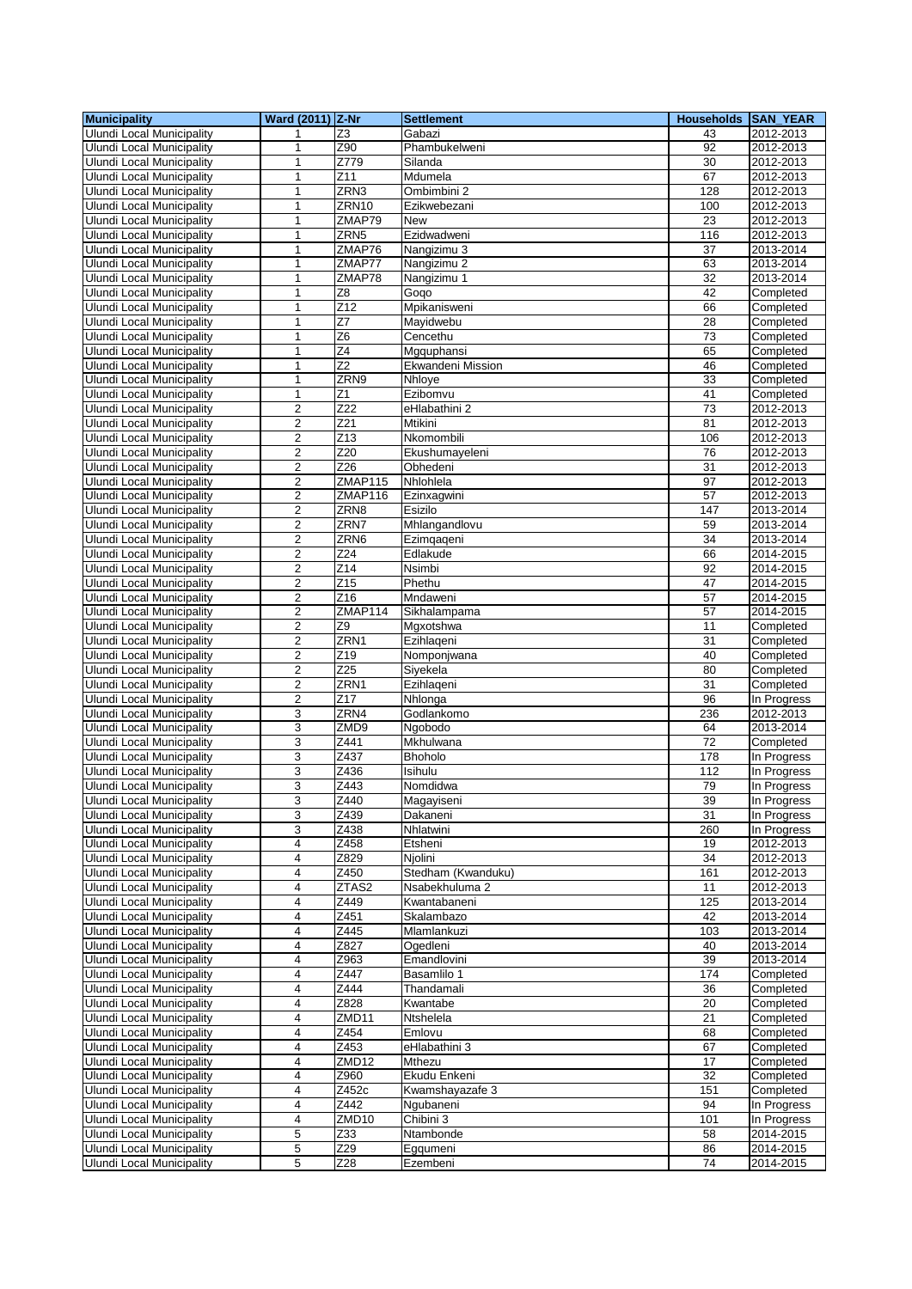| <b>Municipality</b>              | Ward (2011) Z-Nr        |                  | <b>Settlement</b>  | <b>Households SAN YEAR</b> |             |
|----------------------------------|-------------------------|------------------|--------------------|----------------------------|-------------|
| Ulundi Local Municipality        | 1                       | Z3               | Gabazi             | 43                         | 2012-2013   |
| <b>Ulundi Local Municipality</b> | 1                       | Z90              | Phambukelweni      | 92                         | 2012-2013   |
| <b>Ulundi Local Municipality</b> | 1                       | Z779             | Silanda            | 30                         | 2012-2013   |
| <b>Ulundi Local Municipality</b> | $\mathbf{1}$            | Z11              | Mdumela            | 67                         | 2012-2013   |
| <b>Ulundi Local Municipality</b> | 1                       | ZRN3             | Ombimbini 2        | 128                        | 2012-2013   |
|                                  |                         | ZRN10            |                    |                            |             |
| Ulundi Local Municipality        | 1                       |                  | Ezikwebezani       | 100                        | 2012-2013   |
| <b>Ulundi Local Municipality</b> | 1                       | ZMAP79           | <b>New</b>         | 23                         | 2012-2013   |
| <b>Ulundi Local Municipality</b> | 1                       | ZRN <sub>5</sub> | Ezidwadweni        | 116                        | 2012-2013   |
| <b>Ulundi Local Municipality</b> | 1                       | ZMAP76           | Nangizimu 3        | 37                         | 2013-2014   |
| <b>Ulundi Local Municipality</b> | 1                       | ZMAP77           | Nangizimu 2        | 63                         | 2013-2014   |
| <b>Ulundi Local Municipality</b> | 1                       | ZMAP78           | Nangizimu 1        | 32                         | 2013-2014   |
| <b>Ulundi Local Municipality</b> | 1                       | Z8               | Gogo               | 42                         | Completed   |
| Ulundi Local Municipality        | 1                       | Z12              | Mpikanisweni       | 66                         | Completed   |
| <b>Ulundi Local Municipality</b> | $\mathbf{1}$            | Z7               | Mayidwebu          | 28                         | Completed   |
| <b>Ulundi Local Municipality</b> | 1                       | $\overline{26}$  | Cencethu           | 73                         | Completed   |
| Ulundi Local Municipality        | 1                       | $\overline{Z4}$  | Mgquphansi         | 65                         | Completed   |
| <b>Ulundi Local Municipality</b> | 1                       | Z <sub>2</sub>   | Ekwandeni Mission  | 46                         | Completed   |
| Ulundi Local Municipality        | 1                       | ZRN9             | Nhloye             | 33                         | Completed   |
| Ulundi Local Municipality        | $\mathbf{1}$            | Z <sub>1</sub>   | Ezibomvu           | 41                         | Completed   |
| Ulundi Local Municipality        | 2                       | Z22              | eHlabathini 2      | 73                         | 2012-2013   |
| <b>Ulundi Local Municipality</b> | $\overline{2}$          | $\overline{Z21}$ | Mtikini            | 81                         | 2012-2013   |
| <b>Ulundi Local Municipality</b> | 2                       | $\overline{Z13}$ | Nkomombili         | 106                        | 2012-2013   |
| <b>Ulundi Local Municipality</b> | $\overline{2}$          | Z20              | Ekushumayeleni     | 76                         | 2012-2013   |
| <b>Ulundi Local Municipality</b> | $\overline{2}$          | Z <sub>26</sub>  | Obhedeni           | 31                         | 2012-2013   |
|                                  |                         |                  |                    |                            |             |
| Ulundi Local Municipality        | $\overline{2}$          | ZMAP115          | Nhlohlela          | 97                         | 2012-2013   |
| <b>Ulundi Local Municipality</b> | $\overline{2}$          | ZMAP116          | Ezinxagwini        | 57                         | 2012-2013   |
| Ulundi Local Municipality        | $\overline{\mathbf{c}}$ | ZRN8             | Esizilo            | 147                        | 2013-2014   |
| <b>Ulundi Local Municipality</b> | $\overline{\mathbf{c}}$ | ZRN7             | Mhlangandlovu      | 59                         | 2013-2014   |
| <b>Ulundi Local Municipality</b> | 2                       | ZRN6             | Ezimqaqeni         | 34                         | 2013-2014   |
| <b>Ulundi Local Municipality</b> | 2                       | Z24              | Edlakude           | 66                         | 2014-2015   |
| Ulundi Local Municipality        | 2                       | Z14              | Nsimbi             | 92                         | 2014-2015   |
| Ulundi Local Municipality        | 2                       | Z15              | Phethu             | 47                         | 2014-2015   |
| <b>Ulundi Local Municipality</b> | $\overline{2}$          | Z16              | Mndaweni           | 57                         | 2014-2015   |
| Ulundi Local Municipality        | 2                       | ZMAP114          | Sikhalampama       | 57                         | 2014-2015   |
| <b>Ulundi Local Municipality</b> | $\overline{c}$          | Ζ9               | Mgxotshwa          | 11                         | Completed   |
| <b>Ulundi Local Municipality</b> | 2                       | ZRN1             | Ezihlageni         | 31                         | Completed   |
| <b>Ulundi Local Municipality</b> | 2                       | Z19              | Nomponjwana        | 40                         | Completed   |
| Ulundi Local Municipality        | $\overline{2}$          | Z <sub>25</sub>  | Siyekela           | 80                         | Completed   |
| Ulundi Local Municipality        | 2                       | ZRN1             | Ezihlageni         | 31                         | Completed   |
| <b>Ulundi Local Municipality</b> | 2                       | Z17              | Nhlonga            | 96                         | In Progress |
| <b>Ulundi Local Municipality</b> | 3                       | ZRN4             | Godlankomo         | 236                        | 2012-2013   |
| <b>Ulundi Local Municipality</b> | 3                       | ZMD9             | Ngobodo            | 64                         | 2013-2014   |
|                                  | 3                       | Z441             |                    | 72                         |             |
| <b>Ulundi Local Municipality</b> |                         |                  | Mkhulwana          |                            | Completed   |
| <b>Ulundi Local Municipality</b> | 3                       | Z437             | Bhoholo            | 178                        | In Progress |
| <b>Ulundi Local Municipality</b> | 3                       | Z436             | Isihulu            | 112                        | In Progress |
| <b>Ulundi Local Municipality</b> | 3                       | Z443             | Nomdidwa           | 79                         | In Progress |
| Ulundi Local Municipality        | 3                       | Z440             | Magayiseni         | 39                         | In Progress |
| Ulundi Local Municipality        | 3                       | Z439             | Dakaneni           | 31                         | In Progress |
| Ulundi Local Municipality        | 3                       | Z438             | Nhlatwini          | 260                        | In Progress |
| Ulundi Local Municipality        | 4                       | Z458             | Etsheni            | 19                         | 2012-2013   |
| Ulundi Local Municipality        | 4                       | Z829             | Njolini            | 34                         | 2012-2013   |
| <b>Ulundi Local Municipality</b> | 4                       | Z450             | Stedham (Kwanduku) | 161                        | 2012-2013   |
| <b>Ulundi Local Municipality</b> | 4                       | ZTAS2            | Nsabekhuluma 2     | 11                         | 2012-2013   |
| <b>Ulundi Local Municipality</b> | 4                       | Z449             | Kwantabaneni       | 125                        | 2013-2014   |
| <b>Ulundi Local Municipality</b> | 4                       | Z451             | Skalambazo         | 42                         | 2013-2014   |
| Ulundi Local Municipality        | 4                       | Z445             | Mlamlankuzi        | 103                        | 2013-2014   |
| <b>Ulundi Local Municipality</b> | 4                       | Z827             | Ogedleni           | 40                         | 2013-2014   |
| Ulundi Local Municipality        | 4                       | Z963             | Emandlovini        | 39                         | 2013-2014   |
| <b>Ulundi Local Municipality</b> | 4                       | Z447             | Basamlilo 1        | 174                        | Completed   |
| Ulundi Local Municipality        | 4                       | Z444             | Thandamali         | 36                         | Completed   |
| <b>Ulundi Local Municipality</b> | 4                       | Z828             | Kwantabe           | 20                         | Completed   |
| <b>Ulundi Local Municipality</b> | 4                       | ZMD11            | Ntshelela          | 21                         | Completed   |
| Ulundi Local Municipality        | 4                       | Z454             | Emlovu             | 68                         | Completed   |
|                                  | 4                       | Z453             | eHlabathini 3      | 67                         |             |
| Ulundi Local Municipality        |                         |                  |                    |                            | Completed   |
| Ulundi Local Municipality        | 4                       | ZMD12            | Mthezu             | 17                         | Completed   |
| Ulundi Local Municipality        | 4                       | Z960             | Ekudu Enkeni       | 32                         | Completed   |
| Ulundi Local Municipality        | 4                       | Z452c            | Kwamshayazafe 3    | 151                        | Completed   |
| <b>Ulundi Local Municipality</b> | 4                       | Z442             | Ngubaneni          | 94                         | In Progress |
| Ulundi Local Municipality        | 4                       | ZMD10            | Chibini 3          | 101                        | In Progress |
| Ulundi Local Municipality        | 5                       | Z33              | Ntambonde          | 58                         | 2014-2015   |
| Ulundi Local Municipality        | 5                       | Z29              | Egqumeni           | 86                         | 2014-2015   |
| <b>Ulundi Local Municipality</b> | 5                       | Z28              | Ezembeni           | 74                         | 2014-2015   |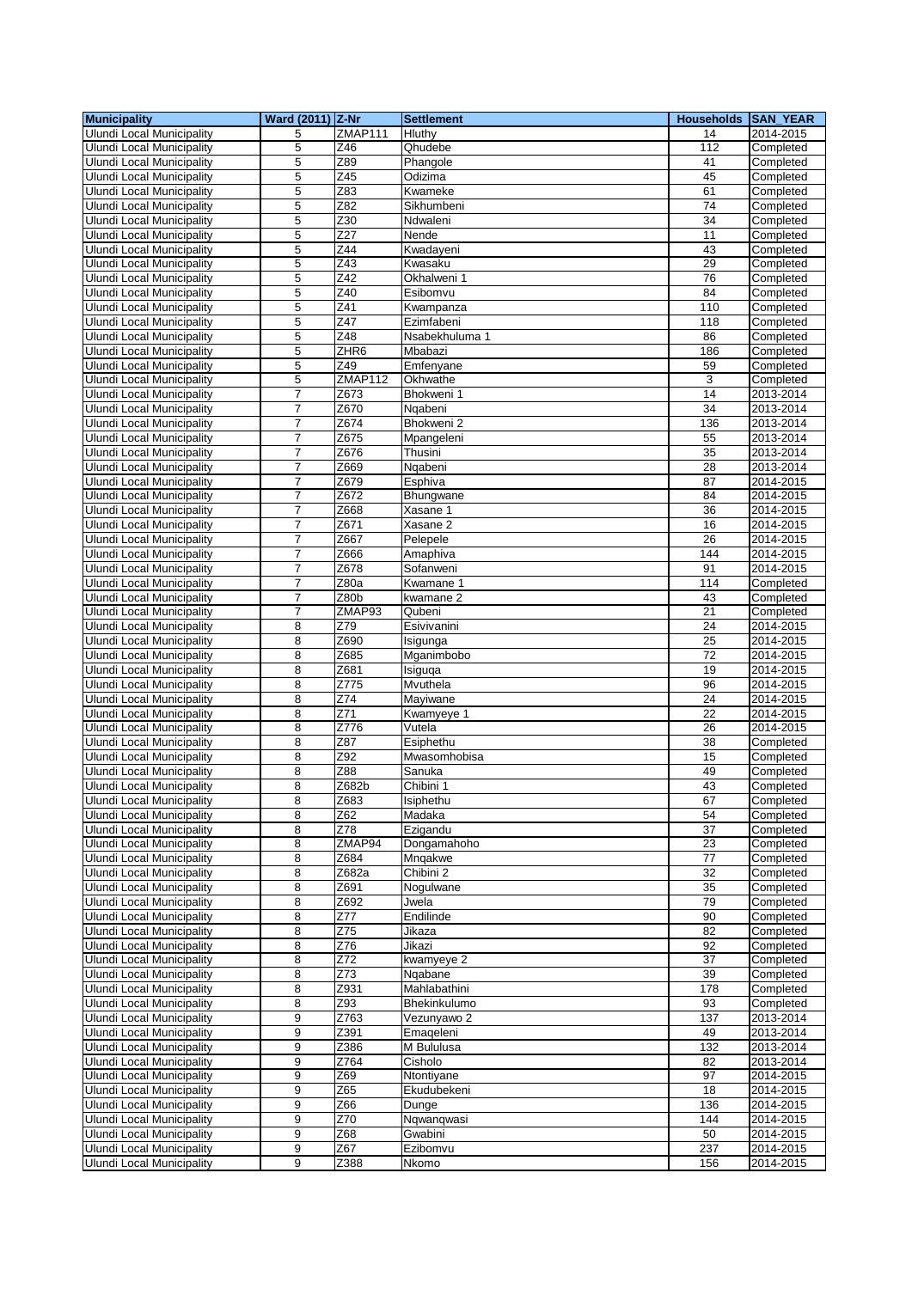| <b>Municipality</b>                                                  | Ward (2011) Z-Nr |                         | <b>Settlement</b>          | Households SAN_YEAR |                        |
|----------------------------------------------------------------------|------------------|-------------------------|----------------------------|---------------------|------------------------|
| <b>Ulundi Local Municipality</b>                                     | 5                | ZMAP111                 | Hluthy                     | 14                  | 2014-2015              |
| <b>Ulundi Local Municipality</b>                                     | 5                | Z46                     | Qhudebe                    | 112                 | Completed              |
| <b>Ulundi Local Municipality</b>                                     | 5                | Z89                     | Phangole                   | 41                  | Completed              |
| Ulundi Local Municipality                                            | 5                | Z45                     | Odizima                    | 45                  | Completed              |
| <b>Ulundi Local Municipality</b>                                     | 5                | Z83                     | Kwameke                    | 61                  | Completed              |
| Ulundi Local Municipality                                            | 5                | Z82                     | Sikhumbeni                 | 74                  | Completed              |
| <b>Ulundi Local Municipality</b>                                     | 5                | $\overline{Z30}$        | Ndwaleni                   | $\overline{34}$     | Completed              |
| <b>Ulundi Local Municipality</b>                                     | 5                | Z27                     | Nende                      | 11                  | Completed              |
| <b>Ulundi Local Municipality</b>                                     | 5                | Z44                     | Kwadayeni                  | 43                  | Completed              |
| <b>Ulundi Local Municipality</b>                                     | 5                | Z43                     | Kwasaku                    | 29                  | Completed              |
| <b>Ulundi Local Municipality</b>                                     | 5                | $\overline{Z42}$        | Okhalweni 1                | 76                  | Completed              |
| <b>Ulundi Local Municipality</b>                                     | 5                | Z40                     | Esibomvu                   | 84                  | Completed              |
| <b>Ulundi Local Municipality</b>                                     | 5                | Z41                     | Kwampanza                  | 110                 | Completed              |
| <b>Ulundi Local Municipality</b>                                     | 5                | $\overline{Z47}$<br>Z48 | Ezimfabeni                 | 118                 | Completed              |
| <b>Ulundi Local Municipality</b><br><b>Ulundi Local Municipality</b> | 5<br>5           | ZHR <sub>6</sub>        | Nsabekhuluma 1<br>Mbabazi  | 86<br>186           | Completed              |
| Ulundi Local Municipality                                            | 5                | Z49                     | Emfenyane                  | 59                  | Completed<br>Completed |
| Ulundi Local Municipality                                            | 5                | ZMAP112                 | Okhwathe                   | 3                   | Completed              |
| <b>Ulundi Local Municipality</b>                                     | $\overline{7}$   | Z673                    | Bhokweni 1                 | 14                  | 2013-2014              |
| Ulundi Local Municipality                                            | 7                | Z670                    | Ngabeni                    | 34                  | 2013-2014              |
| <b>Ulundi Local Municipality</b>                                     | 7                | Z674                    | Bhokweni 2                 | 136                 | 2013-2014              |
| <b>Ulundi Local Municipality</b>                                     | 7                | Z675                    | Mpangeleni                 | 55                  | 2013-2014              |
| <b>Ulundi Local Municipality</b>                                     | 7                | Z676                    | Thusini                    | 35                  | 2013-2014              |
| <b>Ulundi Local Municipality</b>                                     | $\overline{7}$   | Z669                    | Ngabeni                    | 28                  | 2013-2014              |
| Ulundi Local Municipality                                            | 7                | Z679                    | Esphiva                    | 87                  | 2014-2015              |
| <b>Ulundi Local Municipality</b>                                     | 7                | Z672                    | Bhungwane                  | 84                  | 2014-2015              |
| <b>Ulundi Local Municipality</b>                                     | 7                | Z668                    | Xasane 1                   | 36                  | 2014-2015              |
| <b>Ulundi Local Municipality</b>                                     | 7                | Z671                    | Xasane 2                   | 16                  | 2014-2015              |
| <b>Ulundi Local Municipality</b>                                     | 7                | Z667                    | Pelepele                   | 26                  | 2014-2015              |
| <b>Ulundi Local Municipality</b>                                     | 7                | Z666                    | Amaphiva                   | 144                 | 2014-2015              |
| <b>Ulundi Local Municipality</b>                                     | $\overline{7}$   | Z678                    | Sofanweni                  | 91                  | 2014-2015              |
| <b>Ulundi Local Municipality</b>                                     | 7                | Z80a                    | Kwamane 1                  | 114                 | Completed              |
| <b>Ulundi Local Municipality</b>                                     | 7                | Z80 <sub>b</sub>        | kwamane 2                  | 43                  | Completed              |
| Ulundi Local Municipality                                            | $\overline{7}$   | ZMAP93                  | Qubeni                     | 21                  | Completed              |
| <b>Ulundi Local Municipality</b>                                     | 8                | Z79                     | Esivivanini                | 24                  | 2014-2015              |
| <b>Ulundi Local Municipality</b>                                     | 8                | Z690                    | Isigunga                   | 25                  | 2014-2015              |
| Ulundi Local Municipality                                            | 8                | Z685                    | Mganimbobo                 | 72                  | 2014-2015              |
| <b>Ulundi Local Municipality</b>                                     | 8                | Z681                    | Isiguga                    | 19                  | 2014-2015              |
| <b>Ulundi Local Municipality</b>                                     | 8                | Z775                    | Mvuthela                   | 96                  | 2014-2015              |
| <b>Ulundi Local Municipality</b>                                     | 8                | $\overline{Z74}$        | Mayiwane                   | $\overline{24}$     | 2014-2015              |
| <b>Ulundi Local Municipality</b>                                     | 8                | Z71                     | Kwamyeye 1                 | 22                  | 2014-2015              |
| Ulundi Local Municipality                                            | 8                | Z776                    | Vutela                     | 26                  | $2014 - 2015$          |
| <b>Ulundi Local Municipality</b>                                     | 8                | Z87                     | Esiphethu                  | 38                  | Completed              |
| <b>Ulundi Local Municipality</b>                                     | 8                | Z92<br>Z88              | Mwasomhobisa               | 15                  | Completed              |
| <b>Ulundi Local Municipality</b><br><b>Ulundi Local Municipality</b> | 8<br>8           | Z682b                   | Sanuka<br>Chibini 1        | 49<br>43            | Completed<br>Completed |
| Ulundi Local Municipality                                            |                  |                         |                            |                     |                        |
| Ulundi Local Municipality                                            | 8<br>8           | ∠683<br>Z62             | <b>Isiphethu</b><br>Madaka | 67<br>54            | Completed<br>Completed |
| Ulundi Local Municipality                                            | 8                | Z78                     | Ezigandu                   | 37                  | Completed              |
| <b>Ulundi Local Municipality</b>                                     | 8                | ZMAP94                  | Dongamahoho                | 23                  | Completed              |
| <b>Ulundi Local Municipality</b>                                     | 8                | Z684                    | Mnqakwe                    | 77                  | Completed              |
| <b>Ulundi Local Municipality</b>                                     | 8                | Z682a                   | Chibini 2                  | $\overline{32}$     | Completed              |
| Ulundi Local Municipality                                            | 8                | Z691                    | Nogulwane                  | 35                  | Completed              |
| <b>Ulundi Local Municipality</b>                                     | 8                | Z692                    | Jwela                      | 79                  | Completed              |
| <b>Ulundi Local Municipality</b>                                     | 8                | $\overline{Z}$ 77       | Endilinde                  | 90                  | Completed              |
| Ulundi Local Municipality                                            | 8                | Z75                     | Jikaza                     | 82                  | Completed              |
| <b>Ulundi Local Municipality</b>                                     | 8                | Z76                     | Jikazi                     | 92                  | Completed              |
| <b>Ulundi Local Municipality</b>                                     | 8                | Z72                     | kwamyeye 2                 | 37                  | Completed              |
| <b>Ulundi Local Municipality</b>                                     | 8                | Z73                     | Ngabane                    | 39                  | Completed              |
| <b>Ulundi Local Municipality</b>                                     | 8                | Z931                    | Mahlabathini               | 178                 | Completed              |
| <b>Ulundi Local Municipality</b>                                     | 8                | Z93                     | Bhekinkulumo               | 93                  | Completed              |
| <b>Ulundi Local Municipality</b>                                     | 9                | Z763                    | Vezunyawo 2                | 137                 | 2013-2014              |
| <b>Ulundi Local Municipality</b>                                     | 9                | Z391                    | Emageleni                  | 49                  | 2013-2014              |
| <b>Ulundi Local Municipality</b>                                     | 9                | Z386                    | M Bululusa                 | 132                 | 2013-2014              |
| <b>Ulundi Local Municipality</b>                                     | 9                | Z764                    | Cisholo                    | 82                  | 2013-2014              |
| <b>Ulundi Local Municipality</b>                                     | 9                | Z69                     | Ntontiyane                 | 97                  | 2014-2015              |
| <b>Ulundi Local Municipality</b>                                     | 9                | Z65                     | Ekudubekeni                | 18                  | 2014-2015              |
| Ulundi Local Municipality                                            | 9                | Z66                     | Dunge                      | 136                 | 2014-2015              |
| <b>Ulundi Local Municipality</b>                                     | 9                | Z70                     | Ngwangwasi                 | 144                 | 2014-2015              |
| <b>Ulundi Local Municipality</b>                                     | 9                | Z68                     | Gwabini                    | 50                  | 2014-2015              |
| Ulundi Local Municipality                                            | 9                | Z67                     | Ezibomvu                   | 237                 | 2014-2015              |
| <b>Ulundi Local Municipality</b>                                     | 9                | Z388                    | Nkomo                      | 156                 | 2014-2015              |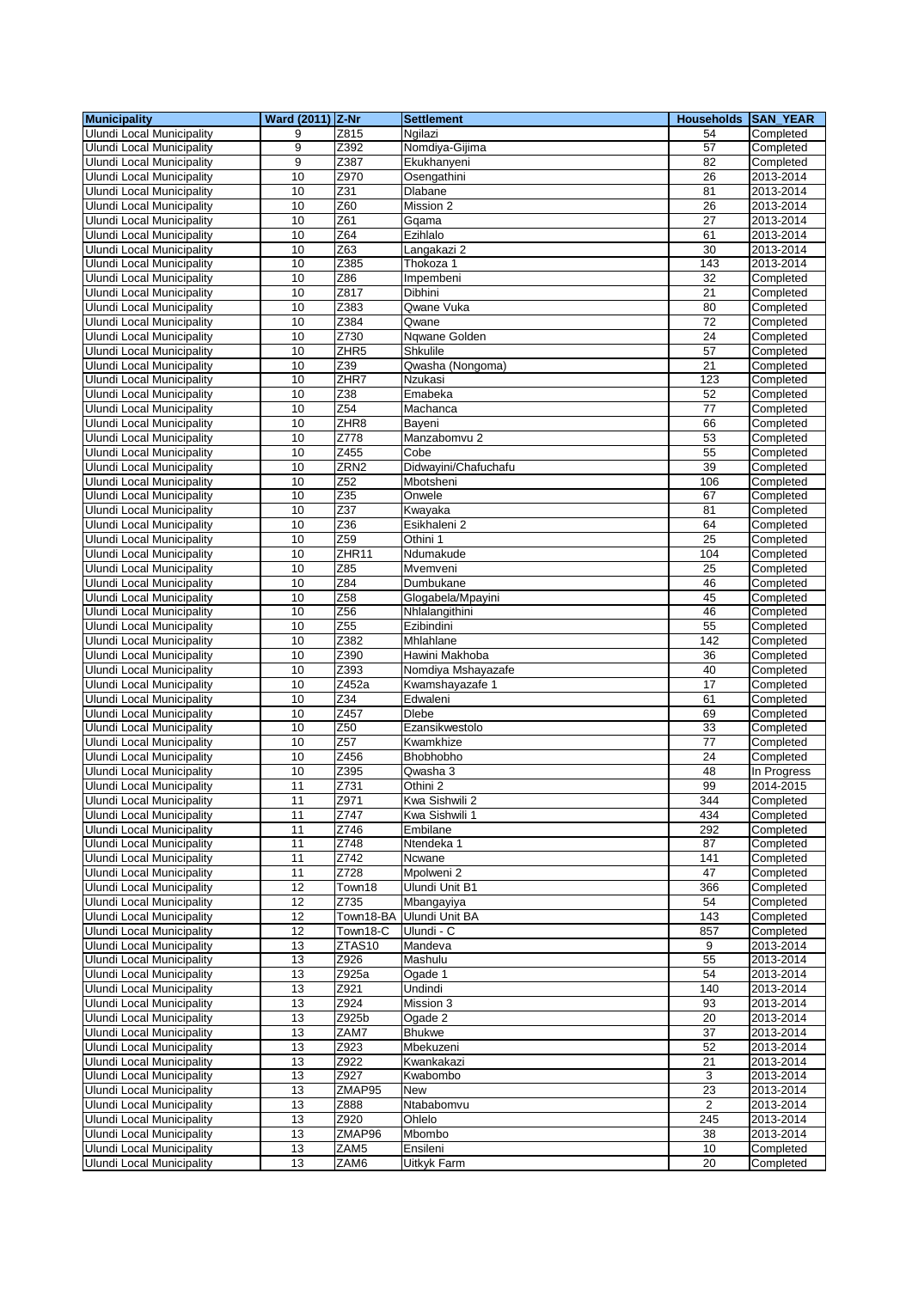| <b>Municipality</b>              | Ward (2011) Z-Nr |                  | <b>Settlement</b>     | Households SAN_YEAR |             |
|----------------------------------|------------------|------------------|-----------------------|---------------------|-------------|
| <b>Ulundi Local Municipality</b> | 9                | Z815             | Ngilazi               | 54                  | Completed   |
| <b>Ulundi Local Municipality</b> | 9                | Z392             | Nomdiya-Gijima        | 57                  | Completed   |
| <b>Ulundi Local Municipality</b> | 9                | Z387             | Ekukhanyeni           | 82                  | Completed   |
| <b>Ulundi Local Municipality</b> | 10               | Z970             | Osengathini           | 26                  | 2013-2014   |
| Ulundi Local Municipality        | 10               | Z31              | Dlabane               | 81                  | 2013-2014   |
| Ulundi Local Municipality        | 10               | Z60              | Mission 2             | 26                  | 2013-2014   |
| <b>Ulundi Local Municipality</b> | 10               | Z61              | Gqama                 | 27                  | 2013-2014   |
| <b>Ulundi Local Municipality</b> | 10               | Z64              | Ezihlalo              | 61                  | 2013-2014   |
| <b>Ulundi Local Municipality</b> | 10               | Z63              | Langakazi 2           | 30                  | 2013-2014   |
| <b>Ulundi Local Municipality</b> | 10               | Z385             | Thokoza 1             | 143                 | 2013-2014   |
| <b>Ulundi Local Municipality</b> | 10               | Z86              | Impembeni             | 32                  | Completed   |
| Ulundi Local Municipality        | 10               | Z817             | Dibhini               | 21                  | Completed   |
| Ulundi Local Municipality        | 10               | Z383             | Qwane Vuka            | 80                  | Completed   |
| <b>Ulundi Local Municipality</b> | 10               | Z384             | Qwane                 | 72                  | Completed   |
| <b>Ulundi Local Municipality</b> | 10               | Z730             | Nqwane Golden         | 24                  | Completed   |
| <b>Ulundi Local Municipality</b> | 10               | ZHR <sub>5</sub> | Shkulile              | 57                  | Completed   |
| <b>Ulundi Local Municipality</b> | 10               | Z39              | Qwasha (Nongoma)      | 21                  | Completed   |
| <b>Ulundi Local Municipality</b> | 10               | ZHR7             | Nzukasi               | 123                 | Completed   |
| <b>Ulundi Local Municipality</b> | 10               | Z38              | Emabeka               | 52                  | Completed   |
| <b>Ulundi Local Municipality</b> | 10               | Z54              | Machanca              | 77                  | Completed   |
| <b>Ulundi Local Municipality</b> | 10               | ZHR <sub>8</sub> | Bayeni                | 66                  | Completed   |
| <b>Ulundi Local Municipality</b> | 10               | Z778             | Manzabomvu 2          | 53                  | Completed   |
| <b>Ulundi Local Municipality</b> | 10               | Z455             | Cobe                  | 55                  | Completed   |
| Ulundi Local Municipality        | 10               | ZRN <sub>2</sub> | Didwayini/Chafuchafu  | 39                  | Completed   |
| Ulundi Local Municipality        | 10               | Z52              | Mbotsheni             | 106                 | Completed   |
| <b>Ulundi Local Municipality</b> | 10               | Z35              | Onwele                | 67                  | Completed   |
| <b>Ulundi Local Municipality</b> | 10               | Z37              | Kwayaka               | 81                  | Completed   |
| <b>Ulundi Local Municipality</b> | 10               | Z36              | Esikhaleni 2          | 64                  | Completed   |
| <b>Ulundi Local Municipality</b> | 10               | Z59              | Othini 1              | 25                  | Completed   |
| <b>Ulundi Local Municipality</b> | 10               | ZHR11            | Ndumakude             | 104                 | Completed   |
| Ulundi Local Municipality        | 10               | Z85              | Mvemveni              | 25                  | Completed   |
| Ulundi Local Municipality        | 10               | Z84              | Dumbukane             | 46                  | Completed   |
| <b>Ulundi Local Municipality</b> | 10               | Z58              | Glogabela/Mpayini     | 45                  | Completed   |
| Ulundi Local Municipality        | 10               | Z56              | Nhlalangithini        | 46                  | Completed   |
| <b>Ulundi Local Municipality</b> | 10               | Z55              | Ezibindini            | 55                  | Completed   |
| <b>Ulundi Local Municipality</b> | 10               | Z382             | Mhlahlane             | 142                 | Completed   |
| <b>Ulundi Local Municipality</b> | 10               | Z390             | Hawini Makhoba        | 36                  | Completed   |
| <b>Ulundi Local Municipality</b> | 10               | Z393             | Nomdiya Mshayazafe    | 40                  | Completed   |
| Ulundi Local Municipality        | 10               | Z452a            | Kwamshayazafe 1       | 17                  | Completed   |
| <b>Ulundi Local Municipality</b> | 10               | $\overline{Z}34$ | Edwaleni              | 61                  | Completed   |
| <b>Ulundi Local Municipality</b> | 10               | Z457             | <b>Dlebe</b>          | 69                  | Completed   |
| Ulundi Local Municipality        | 10               | Z50              | Ezansikwestolo        | 33                  | Completed   |
| Ulundi Local Municipality        | 10               | Z <sub>57</sub>  | Kwamkhize             | 77                  | Completed   |
| Ulundi Local Municipality        | 10               | Z456             | Bhobhobho             | 24                  | Completed   |
| <b>Ulundi Local Municipality</b> | 10               | Z395             | Qwasha 3              | 48                  | In Progress |
| <b>Ulundi Local Municipality</b> | 11               | Z731             | Othini 2              | 99                  | 2014-2015   |
| <b>Ulundi Local Municipality</b> | 11               | Z971             | Kwa Sishwili 2        | 344                 | Completed   |
| Ulundi Local Municipality        | 11               | Z747             | Kwa Sishwili 1        | 434                 | Completed   |
| Ulundi Local Municipality        | 11               | Z746             | Embilane              | 292                 | Completed   |
| Ulundi Local Municipality        | 11               | Z748             | Ntendeka 1            | 87                  | Completed   |
| Ulundi Local Municipality        | 11               | Z742             | Ncwane                | 141                 | Completed   |
| <b>Ulundi Local Municipality</b> | 11               | Z728             | Mpolweni 2            | 47                  | Completed   |
| <b>Ulundi Local Municipality</b> | 12               | Town18           | Ulundi Unit B1        | 366                 | Completed   |
| <b>Ulundi Local Municipality</b> | 12               | Z735             | Mbangayiya            | 54                  | Completed   |
| Ulundi Local Municipality        | 12               | Town18-BA        | <b>Ulundi Unit BA</b> | 143                 | Completed   |
| Ulundi Local Municipality        | 12               | Town18-C         | Ulundi - C            | 857                 | Completed   |
| Ulundi Local Municipality        | 13               | ZTAS10           | Mandeva               | 9                   | 2013-2014   |
| <b>Ulundi Local Municipality</b> | 13               | Z926             | Mashulu               | 55                  | 2013-2014   |
| <b>Ulundi Local Municipality</b> | 13               | Z925a            | Ogade 1               | 54                  | 2013-2014   |
| Ulundi Local Municipality        | 13               | Z921             | Undindi               | 140                 | 2013-2014   |
| Ulundi Local Municipality        | 13               | Z924             | Mission 3             | 93                  | 2013-2014   |
| <b>Ulundi Local Municipality</b> | 13               | Z925b            | Ogade 2               | 20                  | 2013-2014   |
| <b>Ulundi Local Municipality</b> | 13               | ZAM7             | <b>Bhukwe</b>         | 37                  | 2013-2014   |
| Ulundi Local Municipality        | $\overline{13}$  | Z923             | Mbekuzeni             | 52                  | 2013-2014   |
| <b>Ulundi Local Municipality</b> | 13               | Z922             | Kwankakazi            | 21                  | 2013-2014   |
| Ulundi Local Municipality        | 13               | Z927             | Kwabombo              | 3                   | 2013-2014   |
| Ulundi Local Municipality        | 13               | ZMAP95           | New                   | 23                  | 2013-2014   |
| <b>Ulundi Local Municipality</b> | 13               | Z888             | Ntababomvu            | 2                   | 2013-2014   |
| Ulundi Local Municipality        | 13               | Z920             | Ohlelo                | 245                 | 2013-2014   |
| Ulundi Local Municipality        | 13               | ZMAP96           | Mbombo                | 38                  | 2013-2014   |
| <b>Ulundi Local Municipality</b> | 13               | ZAM5             | Ensileni              | 10                  | Completed   |
| Ulundi Local Municipality        | 13               | ZAM6             | Uitkyk Farm           | 20                  | Completed   |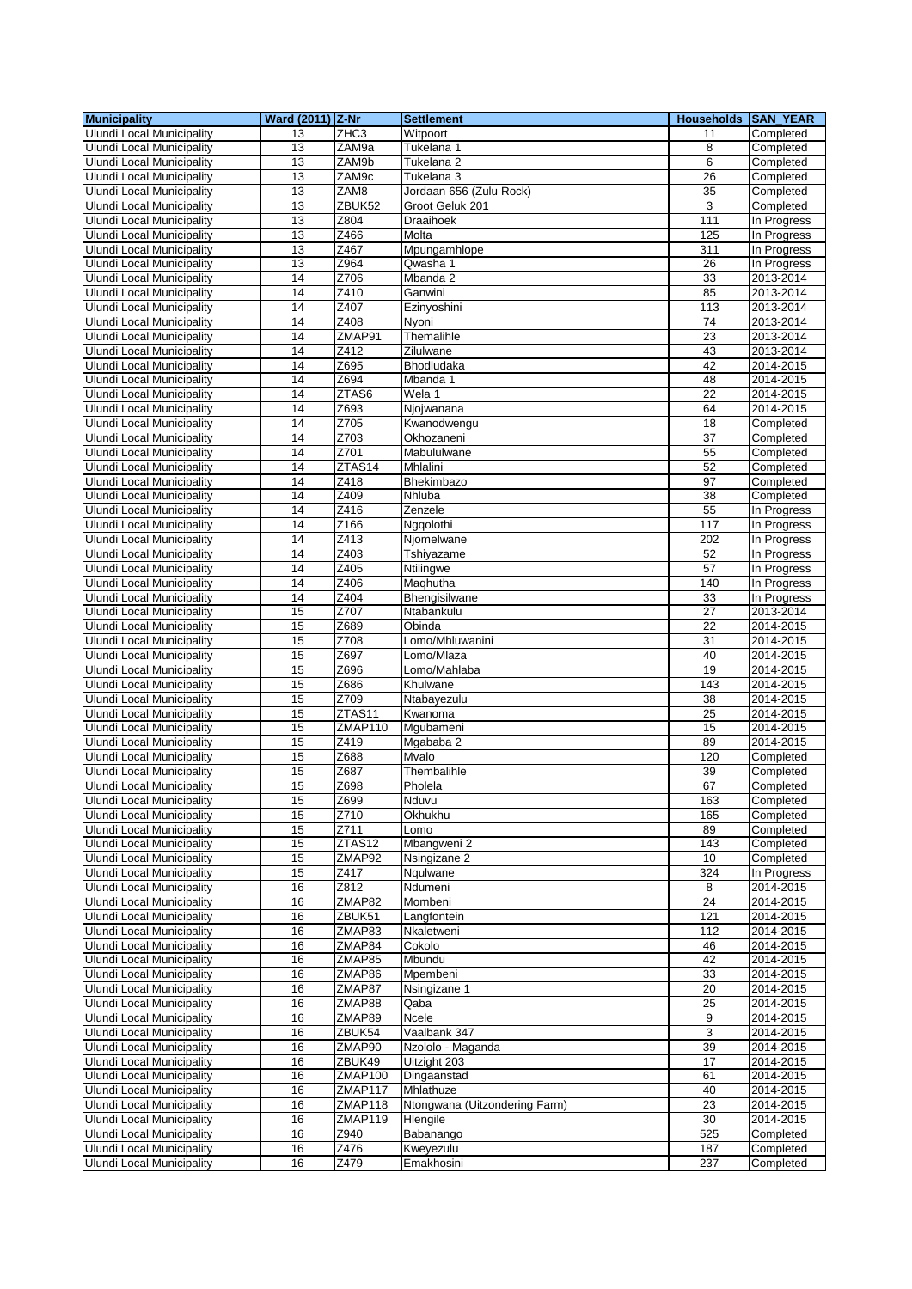| <b>Municipality</b>              | Ward (2011) Z-Nr |         | <b>Settlement</b>             | <b>Households SAN YEAR</b> |               |
|----------------------------------|------------------|---------|-------------------------------|----------------------------|---------------|
| <b>Ulundi Local Municipality</b> | 13               | ZHC3    | Witpoort                      | 11                         | Completed     |
| <b>Ulundi Local Municipality</b> | $\overline{13}$  | ZAM9a   | Tukelana 1                    | 8                          | Completed     |
| <b>Ulundi Local Municipality</b> | 13               | ZAM9b   | Tukelana 2                    | 6                          | Completed     |
| Ulundi Local Municipality        | 13               | ZAM9c   | Tukelana 3                    | 26                         | Completed     |
| <b>Ulundi Local Municipality</b> | 13               | ZAM8    | Jordaan 656 (Zulu Rock)       | 35                         | Completed     |
| Ulundi Local Municipality        | 13               | ZBUK52  | Groot Geluk 201               | 3                          | Completed     |
| <b>Ulundi Local Municipality</b> | 13               | Z804    | Draaihoek                     | 111                        | In Progress   |
| Ulundi Local Municipality        | 13               | Z466    | Molta                         | 125                        | In Progress   |
| <b>Ulundi Local Municipality</b> | 13               | Z467    | Mpungamhlope                  | 311                        | In Progress   |
| <b>Ulundi Local Municipality</b> | 13               | Z964    | Qwasha 1                      | 26                         | In Progress   |
| <b>Ulundi Local Municipality</b> | 14               | Z706    | Mbanda 2                      | 33                         | 2013-2014     |
| <b>Ulundi Local Municipality</b> | 14               | Z410    | Ganwini                       | 85                         | $2013 - 2014$ |
| <b>Ulundi Local Municipality</b> | 14               | Z407    | Ezinyoshini                   | 113                        | 2013-2014     |
| <b>Ulundi Local Municipality</b> | 14               | Z408    | Nvoni                         | 74                         | 2013-2014     |
| <b>Ulundi Local Municipality</b> | 14               | ZMAP91  | Themalihle                    | 23                         | 2013-2014     |
| <b>Ulundi Local Municipality</b> | 14               | Z412    | Zilulwane                     | 43                         | 2013-2014     |
| <b>Ulundi Local Municipality</b> | 14               | Z695    | Bhodludaka                    | 42                         | 2014-2015     |
| Ulundi Local Municipality        | 14               | Z694    | Mbanda 1                      | 48                         | 2014-2015     |
| <b>Ulundi Local Municipality</b> | 14               | ZTAS6   | Wela 1                        | $\overline{22}$            | 2014-2015     |
| <b>Ulundi Local Municipality</b> | 14               | Z693    | Njojwanana                    | 64                         | 2014-2015     |
| <b>Ulundi Local Municipality</b> | 14               | Z705    | Kwanodwengu                   | 18                         | Completed     |
| <b>Ulundi Local Municipality</b> | 14               | Z703    | Okhozaneni                    | $\overline{37}$            | Completed     |
| <b>Ulundi Local Municipality</b> | 14               | Z701    | Mabululwane                   | 55                         | Completed     |
| <b>Ulundi Local Municipality</b> | 14               | ZTAS14  | Mhlalini                      | 52                         | Completed     |
| Ulundi Local Municipality        | 14               | Z418    | Bhekimbazo                    | 97                         | Completed     |
| <b>Ulundi Local Municipality</b> | 14               | Z409    | Nhluba                        | $\overline{38}$            | Completed     |
| <b>Ulundi Local Municipality</b> | 14               | Z416    | Zenzele                       | 55                         | In Progress   |
| <b>Ulundi Local Municipality</b> | 14               | Z166    | Nggolothi                     | 117                        | In Progress   |
| <b>Ulundi Local Municipality</b> | 14               | Z413    | Njomelwane                    | 202                        | In Progress   |
| <b>Ulundi Local Municipality</b> | 14               | Z403    | Tshiyazame                    | 52                         | In Progress   |
| <b>Ulundi Local Municipality</b> | 14               | Z405    | Ntilingwe                     | 57                         | In Progress   |
| <b>Ulundi Local Municipality</b> | 14               | Z406    | Maqhutha                      | 140                        | In Progress   |
| <b>Ulundi Local Municipality</b> | 14               | Z404    | Bhengisilwane                 | 33                         | In Progress   |
| <b>Ulundi Local Municipality</b> | 15               | Z707    | Ntabankulu                    | 27                         | 2013-2014     |
| <b>Ulundi Local Municipality</b> | 15               | Z689    | Obinda                        | 22                         | 2014-2015     |
| <b>Ulundi Local Municipality</b> | 15               | Z708    | Lomo/Mhluwanini               | 31                         | 2014-2015     |
| Ulundi Local Municipality        | 15               | Z697    | _omo/Mlaza                    | 40                         | 2014-2015     |
| <b>Ulundi Local Municipality</b> | 15               | Z696    | Lomo/Mahlaba                  | 19                         | 2014-2015     |
| Ulundi Local Municipality        | 15               | Z686    | Khulwane                      | 143                        | 2014-2015     |
| <b>Ulundi Local Municipality</b> | 15               | Z709    | Ntabayezulu                   | 38                         | 2014-2015     |
| <b>Ulundi Local Municipality</b> | 15               | ZTAS11  | Kwanoma                       | $\overline{25}$            | 2014-2015     |
| Ulundi Local Municipality        | 15               | ZMAP110 | Mgubameni                     | 15                         | 2014-2015     |
| <b>Ulundi Local Municipality</b> | 15               | Z419    | Mgababa 2                     | 89                         | 2014-2015     |
| Ulundi Local Municipality        | 15               | Z688    | Mvalo                         | 120                        | Completed     |
| <b>Ulundi Local Municipality</b> | 15               | Z687    | Thembalihle                   | 39                         | Completed     |
| <b>Ulundi Local Municipality</b> | 15               | Z698    | Pholela                       | 67                         | Completed     |
| Ulundi Local Municipality        | 15               | Z699    | Nduvu                         | 163                        | Completed     |
| Ulundi Local Municipality        | 15               | Z710    | Okhukhu                       | 165                        | Completed     |
| Ulundi Local Municipality        | 15               | Z711    | Lomo                          | 89                         | Completed     |
| <b>Ulundi Local Municipality</b> | 15               | ZTAS12  | Mbangweni 2                   | 143                        | Completed     |
| <b>Ulundi Local Municipality</b> | 15               | ZMAP92  | Nsingizane 2                  | 10                         | Completed     |
| <b>Ulundi Local Municipality</b> | 15               | Z417    | Ngulwane                      | 324                        | In Progress   |
| Ulundi Local Municipality        | 16               | Z812    | Ndumeni                       | 8                          | 2014-2015     |
| <b>Ulundi Local Municipality</b> | 16               | ZMAP82  | Mombeni                       | 24                         | 2014-2015     |
| <b>Ulundi Local Municipality</b> | 16               | ZBUK51  | Langfontein                   | 121                        | 2014-2015     |
| <b>Ulundi Local Municipality</b> | 16               | ZMAP83  | Nkaletweni                    | 112                        | 2014-2015     |
| <b>Ulundi Local Municipality</b> | 16               | ZMAP84  | Cokolo                        | 46                         | 2014-2015     |
| <b>Ulundi Local Municipality</b> | 16               | ZMAP85  | Mbundu                        | 42                         | 2014-2015     |
| <b>Ulundi Local Municipality</b> | 16               | ZMAP86  | Mpembeni                      | 33                         | 2014-2015     |
| <b>Ulundi Local Municipality</b> | 16               | ZMAP87  | Nsingizane 1                  | $\overline{20}$            | 2014-2015     |
| <b>Ulundi Local Municipality</b> | 16               | ZMAP88  | Qaba                          | 25                         | 2014-2015     |
| <b>Ulundi Local Municipality</b> | 16               | ZMAP89  | Ncele                         | 9                          | 2014-2015     |
| <b>Ulundi Local Municipality</b> | 16               | ZBUK54  | Vaalbank 347                  | 3                          | 2014-2015     |
| <b>Ulundi Local Municipality</b> | 16               | ZMAP90  | Nzololo - Maganda             | 39                         | 2014-2015     |
| <b>Ulundi Local Municipality</b> | 16               | ZBUK49  | Uitzight 203                  | 17                         | 2014-2015     |
| <b>Ulundi Local Municipality</b> | 16               | ZMAP100 | Dingaanstad                   | 61                         | 2014-2015     |
| <b>Ulundi Local Municipality</b> | 16               | ZMAP117 | Mhlathuze                     | 40                         | 2014-2015     |
| Ulundi Local Municipality        | 16               | ZMAP118 | Ntongwana (Uitzondering Farm) | 23                         | 2014-2015     |
| <b>Ulundi Local Municipality</b> | 16               | ZMAP119 | Hlengile                      | 30                         | 2014-2015     |
| <b>Ulundi Local Municipality</b> | 16               | Z940    | Babanango                     | 525                        | Completed     |
| Ulundi Local Municipality        | $16\,$           | Z476    | Kweyezulu                     | 187                        | Completed     |
| Ulundi Local Municipality        | 16               | Z479    | Emakhosini                    | 237                        | Completed     |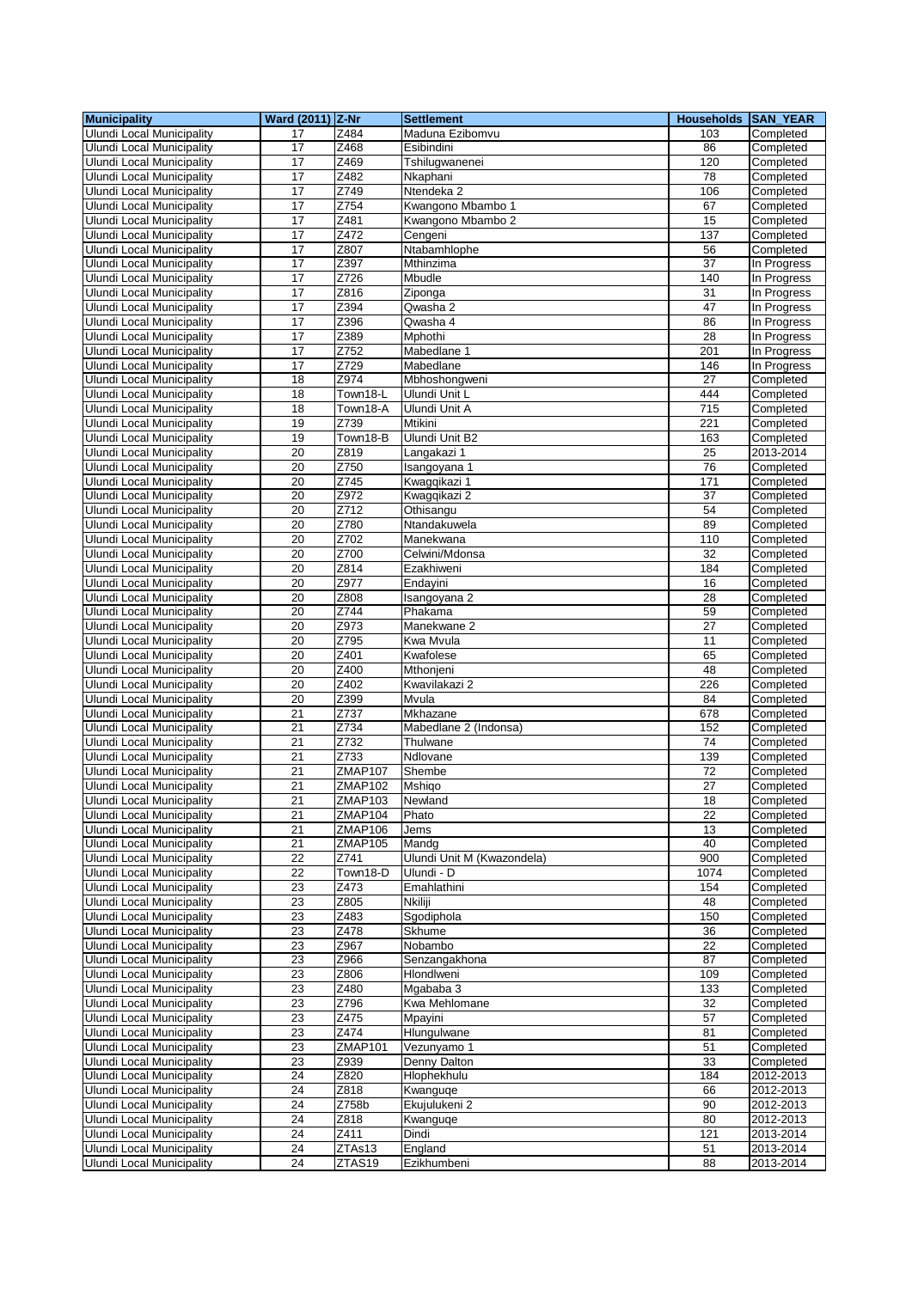| <b>Municipality</b>              | Ward (2011) Z-Nr |                | <b>Settlement</b>          | <b>Households SAN YEAR</b> |                         |
|----------------------------------|------------------|----------------|----------------------------|----------------------------|-------------------------|
| <b>Ulundi Local Municipality</b> | 17               | Z484           | Maduna Ezibomvu            | 103                        | Completed               |
| Ulundi Local Municipality        | 17               | Z468           | Esibindini                 | 86                         | Completed               |
| Ulundi Local Municipality        | 17               | Z469           | Tshilugwanenei             | 120                        | Completed               |
| <b>Ulundi Local Municipality</b> | 17               | Z482           | Nkaphani                   | 78                         | Completed               |
| <b>Ulundi Local Municipality</b> | 17               | Z749           | Ntendeka <sub>2</sub>      | 106                        | Completed               |
| Ulundi Local Municipality        | 17               | Z754           | Kwangono Mbambo 1          | 67                         | Completed               |
| <b>Ulundi Local Municipality</b> | 17               | Z481           | Kwangono Mbambo 2          | 15                         | Completed               |
| <b>Ulundi Local Municipality</b> | 17               | Z472           | Cengeni                    | 137                        | Completed               |
| <b>Ulundi Local Municipality</b> | 17               | Z807           | Ntabamhlophe               | 56                         | Completed               |
| <b>Ulundi Local Municipality</b> | $\overline{17}$  | Z397           | Mthinzima                  | 37                         | In Progress             |
| Ulundi Local Municipality        | 17               | Z726           | Mbudle                     | 140                        | In Progress             |
| Ulundi Local Municipality        | 17               | Z816           | Ziponga                    | 31                         | In Progress             |
| Ulundi Local Municipality        | 17               | Z394           | Qwasha 2                   | 47                         | In Progress             |
| <b>Ulundi Local Municipality</b> | $\overline{17}$  | Z396           | Qwasha 4                   | 86                         | In Progress             |
| <b>Ulundi Local Municipality</b> | 17               | Z389           | Mphothi                    | 28                         | In Progress             |
| <b>Ulundi Local Municipality</b> | 17               | Z752           | Mabedlane 1                | 201                        | In Progress             |
| <b>Ulundi Local Municipality</b> | 17               | Z729           | Mabedlane                  | 146                        | In Progress             |
| Ulundi Local Municipality        | 18               | Z974           | Mbhoshongweni              | 27                         | Completed               |
| <b>Ulundi Local Municipality</b> | 18               | Town18-L       | Ulundi Unit L              | 444                        | Completed               |
| <b>Ulundi Local Municipality</b> | 18               | Town18-A       | Ulundi Unit A              | 715                        | Completed               |
| <b>Ulundi Local Municipality</b> | 19               | Z739           | <b>Mtikini</b>             | $\overline{221}$           | Completed               |
| <b>Ulundi Local Municipality</b> | 19               | Town18-B       | Ulundi Unit B2             | 163                        | Completed               |
| <b>Ulundi Local Municipality</b> | 20               | Z819           | Langakazi 1                | 25                         | $\overline{20}$ 13-2014 |
| <b>Ulundi Local Municipality</b> | 20               | Z750           | Isangoyana 1               | 76                         | Completed               |
| Ulundi Local Municipality        | 20               | Z745           | Kwagqikazi 1               | 171                        | Completed               |
| <b>Ulundi Local Municipality</b> | 20               | Z972           | Kwagqikazi 2               | $\overline{37}$            | Completed               |
| <b>Ulundi Local Municipality</b> | 20               | Z712           | Othisangu                  | 54                         | Completed               |
| <b>Ulundi Local Municipality</b> | 20               | Z780           | Ntandakuwela               | 89                         | Completed               |
| <b>Ulundi Local Municipality</b> | $\overline{20}$  | Z702           | Manekwana                  | 110                        | Completed               |
| Ulundi Local Municipality        | 20               | Z700           | Celwini/Mdonsa             | 32                         | Completed               |
| Ulundi Local Municipality        | 20               | Z814           | Ezakhiweni                 | 184                        | Completed               |
| <b>Ulundi Local Municipality</b> | 20               | Z977           | Endayini                   | 16                         | Completed               |
| <b>Ulundi Local Municipality</b> | 20               | Z808           | Isangoyana 2               | 28                         | Completed               |
| <b>Ulundi Local Municipality</b> | 20               | Z744           | Phakama                    | 59                         | Completed               |
| <b>Ulundi Local Municipality</b> | 20               | Z973           | Manekwane 2                | 27                         | Completed               |
| <b>Ulundi Local Municipality</b> | 20               | Z795           | Kwa Mvula                  | 11                         | Completed               |
| Ulundi Local Municipality        | 20               | Z401           | Kwafolese                  | 65                         | Completed               |
| <b>Ulundi Local Municipality</b> | 20               | Z400           | Mthonjeni                  | 48                         | Completed               |
| <b>Ulundi Local Municipality</b> | 20               | Z402           | Kwavilakazi 2              | 226                        | Completed               |
| <b>Ulundi Local Municipality</b> | 20               | Z399           | Mvula                      | 84                         | Completed               |
| <b>Ulundi Local Municipality</b> | 21               | Z737           | Mkhazane                   | 678                        | Completed               |
| <b>Ulundi Local Municipality</b> | 21               | Z734           | Mabedlane 2 (Indonsa)      | 152                        | Completed               |
| <b>Ulundi Local Municipality</b> | 21               | Z732           | Thulwane                   | 74                         | Completed               |
| Ulundi Local Municipality        | 21               | Z733           | Ndlovane                   | 139                        | Completed               |
| <b>Ulundi Local Municipality</b> | $\overline{21}$  | ZMAP107        | Shembe                     | 72                         | Completed               |
| Ulundi Local Municipality        | 21               | ZMAP102        | Mshigo                     | 27                         | Completed               |
| Ulundi Local Municipality        | $\overline{21}$  | <b>ZMAP103</b> | Newland                    | 18                         | Completed               |
| Ulundi Local Municipality        | 21               | ZMAP104        | Phato                      | 22                         | Completed               |
| Ulundi Local Municipality        | 21               | <b>ZMAP106</b> | Jems                       | 13                         | Completed               |
| <b>Ulundi Local Municipality</b> | 21               | ZMAP105        | Mandg                      | 40                         | Completed               |
| Ulundi Local Municipality        | 22               | Z741           | Ulundi Unit M (Kwazondela) | 900                        | Completed               |
| <b>Ulundi Local Municipality</b> | 22               | Town18-D       | Ulundi - D                 | 1074                       | Completed               |
| <b>Ulundi Local Municipality</b> | 23               | Z473           | Emahlathini                | 154                        | Completed               |
| <b>Ulundi Local Municipality</b> | 23               | Z805           | Nkiliji                    | 48                         | Completed               |
| <b>Ulundi Local Municipality</b> | 23               | Z483           | Sgodiphola                 | 150                        | Completed               |
| Ulundi Local Municipality        | 23               | Z478           | Skhume                     | 36                         | Completed               |
| <b>Ulundi Local Municipality</b> | 23               | Z967           | Nobambo                    | 22                         | Completed               |
| Ulundi Local Municipality        | 23               | Z966           | Senzangakhona              | 87                         | Completed               |
| <b>Ulundi Local Municipality</b> | 23               | Z806           | Hlondlweni                 | 109                        | Completed               |
| Ulundi Local Municipality        | 23               | Z480           | Mgababa 3                  | 133                        | Completed               |
| <b>Ulundi Local Municipality</b> | 23               | Z796           | Kwa Mehlomane              | 32                         | Completed               |
| Ulundi Local Municipality        | 23               | Z475           | Mpayini                    | 57                         | Completed               |
| Ulundi Local Municipality        | 23               | Z474           | Hlungulwane                | 81                         | Completed               |
| <b>Ulundi Local Municipality</b> | 23               | ZMAP101        | Vezunyamo 1                | 51                         | Completed               |
| <b>Ulundi Local Municipality</b> | 23               | Z939           | Denny Dalton               | 33                         | Completed               |
| <b>Ulundi Local Municipality</b> | 24               | Z820           | Hlophekhulu                | 184                        | 2012-2013               |
| <b>Ulundi Local Municipality</b> | 24               | Z818           | Kwanguqe                   | 66                         | 2012-2013               |
| <b>Ulundi Local Municipality</b> | 24               | Z758b          | Ekujulukeni 2              | 90                         | 2012-2013               |
| <b>Ulundi Local Municipality</b> | 24               | Z818           | Kwanguge                   | 80                         | 2012-2013               |
| Ulundi Local Municipality        | 24               | Z411           | Dindi                      | 121                        | 2013-2014               |
| <b>Ulundi Local Municipality</b> | 24               | ZTAs13         | England                    | 51                         | 2013-2014               |
| Ulundi Local Municipality        | 24               | ZTAS19         | Ezikhumbeni                | 88                         | 2013-2014               |
|                                  |                  |                |                            |                            |                         |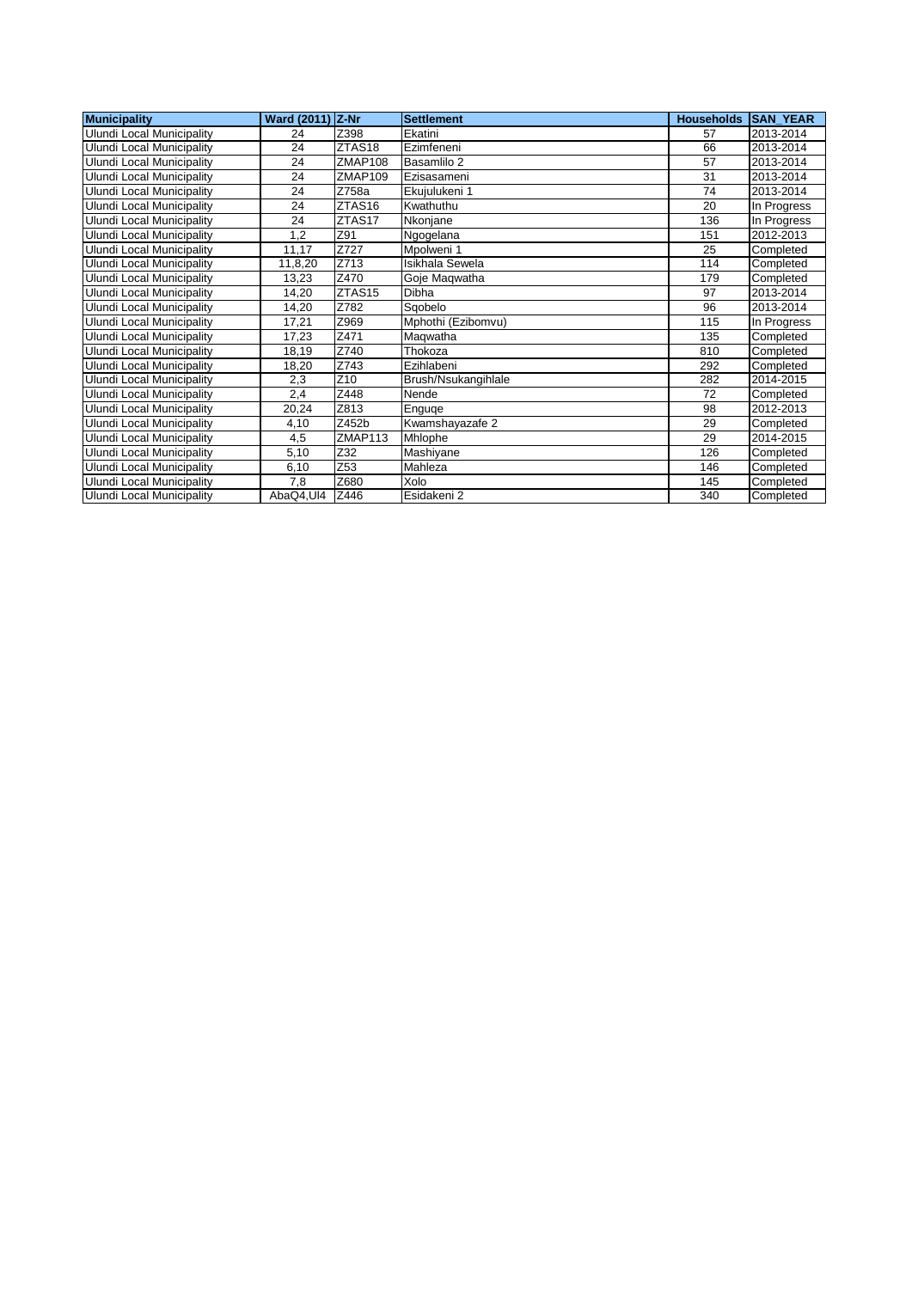| <b>Municipality</b>              | <b>Ward (2011)</b> | Z-Nr               | <b>Settlement</b>   | <b>Households</b> | <b>SAN YEAR</b> |
|----------------------------------|--------------------|--------------------|---------------------|-------------------|-----------------|
| <b>Ulundi Local Municipality</b> | 24                 | Z398               | Ekatini             | 57                | 2013-2014       |
| Ulundi Local Municipality        | 24                 | ZTAS <sub>18</sub> | Ezimfeneni          | 66                | 2013-2014       |
| Ulundi Local Municipality        | 24                 | ZMAP108            | Basamlilo 2         | 57                | 2013-2014       |
| Ulundi Local Municipality        | 24                 | ZMAP109            | Ezisasameni         | 31                | 2013-2014       |
| Ulundi Local Municipality        | 24                 | Z758a              | Ekujulukeni 1       | 74                | 2013-2014       |
| <b>Ulundi Local Municipality</b> | 24                 | ZTAS16             | Kwathuthu           | 20                | In Progress     |
| Ulundi Local Municipality        | 24                 | ZTAS17             | Nkoniane            | 136               | In Progress     |
| Ulundi Local Municipality        | 1,2                | Z91                | Ngogelana           | 151               | 2012-2013       |
| <b>Ulundi Local Municipality</b> | 11,17              | Z727               | Mpolweni 1          | 25                | Completed       |
| <b>Ulundi Local Municipality</b> | 11,8,20            | Z713               | Isikhala Sewela     | 114               | Completed       |
| Ulundi Local Municipality        | 13,23              | Z470               | Goje Maqwatha       | 179               | Completed       |
| Ulundi Local Municipality        | 14,20              | ZTAS15             | Dibha               | 97                | 2013-2014       |
| Ulundi Local Municipality        | 14.20              | Z782               | Sqobelo             | 96                | 2013-2014       |
| <b>Ulundi Local Municipality</b> | 17,21              | Z969               | Mphothi (Ezibomvu)  | 115               | In Progress     |
| Ulundi Local Municipality        | 17,23              | Z471               | Magwatha            | 135               | Completed       |
| Ulundi Local Municipality        | 18,19              | Z740               | Thokoza             | 810               | Completed       |
| Ulundi Local Municipality        | 18,20              | Z743               | Ezihlabeni          | 292               | Completed       |
| Ulundi Local Municipality        | 2,3                | Z10                | Brush/Nsukangihlale | 282               | 2014-2015       |
| Ulundi Local Municipality        | 2,4                | Z448               | Nende               | 72                | Completed       |
| Ulundi Local Municipality        | 20,24              | Z813               | Enguge              | 98                | 2012-2013       |
| <b>Ulundi Local Municipality</b> | 4,10               | Z452b              | Kwamshayazafe 2     | 29                | Completed       |
| Ulundi Local Municipality        | 4,5                | ZMAP113            | Mhlophe             | 29                | 2014-2015       |
| Ulundi Local Municipality        | 5,10               | Z32                | Mashiyane           | 126               | Completed       |
| <b>Ulundi Local Municipality</b> | 6,10               | Z53                | Mahleza             | 146               | Completed       |
| Ulundi Local Municipality        | 7,8                | Z680               | Xolo                | 145               | Completed       |
| Ulundi Local Municipality        | AbaQ4,UI4          | Z446               | Esidakeni 2         | 340               | Completed       |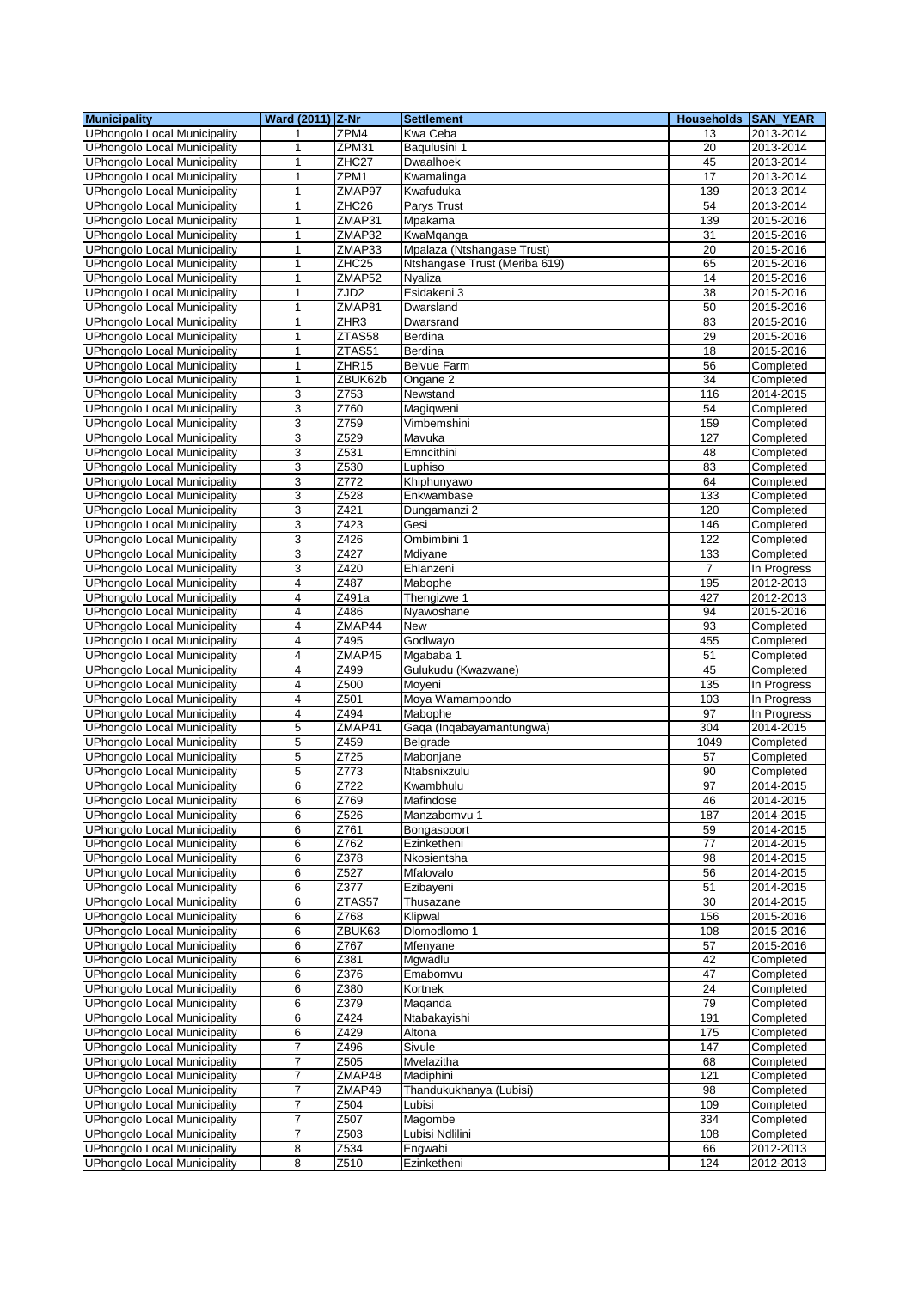| <b>Municipality</b>                                                        | Ward (2011) Z-Nr |                   | <b>Settlement</b>                    | Households SAN_YEAR |                          |
|----------------------------------------------------------------------------|------------------|-------------------|--------------------------------------|---------------------|--------------------------|
| <b>UPhongolo Local Municipality</b>                                        | 1                | ZPM4              | Kwa Ceba                             | 13                  | 2013-2014                |
| <b>UPhongolo Local Municipality</b>                                        | 1                | ZPM31             | Baqulusini 1                         | 20                  | 2013-2014                |
| <b>UPhongolo Local Municipality</b>                                        | $\mathbf{1}$     | ZHC <sub>27</sub> | Dwaalhoek                            | 45                  | 2013-2014                |
| <b>UPhongolo Local Municipality</b>                                        | 1                | ZPM1              | Kwamalinga                           | 17                  | $\overline{20}$ 13-2014  |
| <b>UPhongolo Local Municipality</b>                                        | $\mathbf{1}$     | ZMAP97            | Kwafuduka                            | 139                 | 2013-2014                |
| <b>UPhongolo Local Municipality</b>                                        | 1                | ZHC26             | Parys Trust                          | 54                  | 2013-2014                |
| <b>UPhongolo Local Municipality</b>                                        | 1                | ZMAP31            | Mpakama                              | 139                 | 2015-2016                |
| <b>UPhongolo Local Municipality</b>                                        | $\mathbf{1}$     | ZMAP32            | KwaMqanga                            | 31                  | 2015-2016                |
| <b>UPhongolo Local Municipality</b>                                        | 1                | ZMAP33            | Mpalaza (Ntshangase Trust)           | 20                  | 2015-2016                |
| <b>UPhongolo Local Municipality</b>                                        | 1                | ZHC25             | Ntshangase Trust (Meriba 619)        | 65                  | 2015-2016                |
| <b>UPhongolo Local Municipality</b>                                        | 1                | ZMAP52            | Nyaliza                              | 14                  | 2015-2016                |
| <b>UPhongolo Local Municipality</b>                                        | $\mathbf{1}$     | ZJD <sub>2</sub>  | Esidakeni 3                          | 38                  | 2015-2016                |
| <b>UPhongolo Local Municipality</b>                                        | $\mathbf{1}$     | ZMAP81            | Dwarsland                            | 50                  | 2015-2016                |
| <b>UPhongolo Local Municipality</b>                                        | $\mathbf{1}$     | ZHR3              | Dwarsrand                            | 83                  | 2015-2016                |
| <b>UPhongolo Local Municipality</b>                                        | $\mathbf{1}$     | ZTAS58            | Berdina                              | 29                  | 2015-2016                |
| <b>UPhongolo Local Municipality</b>                                        | 1                | ZTAS51            | Berdina                              | 18                  | 2015-2016                |
| <b>UPhongolo Local Municipality</b>                                        | 1                | ZHR15             | Belvue Farm                          | 56                  | Completed                |
| <b>UPhongolo Local Municipality</b>                                        | 1                | ZBUK62b           | Ongane 2                             | 34                  | Completed                |
| <b>UPhongolo Local Municipality</b>                                        | 3                | Z753              | Newstand                             | 116                 | 2014-2015                |
| <b>UPhongolo Local Municipality</b>                                        | 3                | Z760              | Magigweni                            | 54                  | Completed                |
| <b>UPhongolo Local Municipality</b>                                        | 3                | Z759              | Vimbemshini                          | 159                 | Completed                |
| <b>UPhongolo Local Municipality</b>                                        | 3                | Z529              | Mavuka                               | 127                 | Completed                |
| <b>UPhongolo Local Municipality</b>                                        | 3                | Z531              | Emncithini                           | 48                  | Completed                |
| <b>UPhongolo Local Municipality</b>                                        | 3                | Z530              | Luphiso                              | 83                  | Completed                |
| <b>UPhongolo Local Municipality</b>                                        | 3                | Z772              | Khiphunyawo                          | 64                  | Completed                |
| <b>UPhongolo Local Municipality</b>                                        | 3                | Z528              | Enkwambase                           | 133                 | Completed                |
| <b>UPhongolo Local Municipality</b>                                        | 3                | Z421              | Dungamanzi 2                         | 120                 | Completed                |
| <b>UPhongolo Local Municipality</b>                                        | 3                | Z423              | Gesi                                 | 146                 | Completed                |
| <b>UPhongolo Local Municipality</b>                                        | 3                | Z426              | Ombimbini 1                          | 122                 | Completed                |
| <b>UPhongolo Local Municipality</b>                                        | 3                | Z427              | Mdiyane                              | 133                 | Completed                |
| <b>UPhongolo Local Municipality</b>                                        | 3                | Z420              | Ehlanzeni                            | $\overline{7}$      | In Progress              |
| <b>UPhongolo Local Municipality</b>                                        | 4                | Z487              | Mabophe                              | 195                 | 2012-2013                |
| <b>UPhongolo Local Municipality</b>                                        | 4                | Z491a             | Thengizwe 1                          | 427                 | 2012-2013                |
| <b>UPhongolo Local Municipality</b>                                        | 4                | Z486              | Nyawoshane                           | 94                  | 2015-2016                |
|                                                                            | 4                | ZMAP44            | New                                  | 93                  |                          |
| <b>UPhongolo Local Municipality</b><br><b>UPhongolo Local Municipality</b> | 4                | Z495              | Godlwayo                             | 455                 | Completed                |
| <b>UPhongolo Local Municipality</b>                                        |                  | ZMAP45            | Mgababa 1                            | 51                  | Completed<br>Completed   |
|                                                                            | 4<br>4           |                   |                                      | 45                  |                          |
| <b>UPhongolo Local Municipality</b><br><b>UPhongolo Local Municipality</b> | 4                | Z499<br>Z500      | Gulukudu (Kwazwane)<br>Moyeni        | 135                 | Completed<br>In Progress |
|                                                                            | 4                | Z501              |                                      | 103                 |                          |
| <b>UPhongolo Local Municipality</b>                                        | $\overline{4}$   | Z494              | Moya Wamampondo<br>Mabophe           | 97                  | In Progress              |
| <b>UPhongolo Local Municipality</b><br><b>UPhongolo Local Municipality</b> | 5                | ZMAP41            | Gaga (Ingabayamantungwa)             |                     | In Progress              |
| <b>UPhongolo Local Municipality</b>                                        | 5                | Z459              | Belgrade                             | 304<br>1049         | 2014-2015<br>Completed   |
| <b>UPhongolo Local Municipality</b>                                        | 5                | Z725              | Mabonjane                            | 57                  | Completed                |
| <b>UPhongolo Local Municipality</b>                                        | 5                | Z773              | Ntabsnixzulu                         | 90                  | Completed                |
| <b>UPhongolo Local Municipality</b>                                        | 6                | Z722              | Kwambhulu                            | 97                  | 2014-2015                |
|                                                                            |                  |                   |                                      |                     |                          |
| UPhongolo Local Municipality<br><b>UPhongolo Local Municipality</b>        | 6<br>6           | Z769<br>Z526      | Matindose<br>Manzabomvu 1            | 46<br>187           | 2014-2015<br>2014-2015   |
| UPhongolo Local Municipality                                               | 6                | Z761              | Bongaspoort                          | 59                  | 2014-2015                |
| <b>UPhongolo Local Municipality</b>                                        | 6                | Z762              | Ezinketheni                          | 77                  | 2014-2015                |
| <b>UPhongolo Local Municipality</b>                                        | 6                | Z378              | Nkosientsha                          | 98                  |                          |
| <b>UPhongolo Local Municipality</b>                                        | 6                | Z527              | Mfalovalo                            | 56                  | 2014-2015<br>2014-2015   |
| <b>UPhongolo Local Municipality</b>                                        | 6                | Z377              | Ezibayeni                            | 51                  | 2014-2015                |
| <b>UPhongolo Local Municipality</b>                                        | 6                |                   | Thusazane                            | 30                  |                          |
| <b>UPhongolo Local Municipality</b>                                        | 6                | ZTAS57<br>Z768    | Klipwal                              | 156                 | 2014-2015<br>2015-2016   |
| <b>UPhongolo Local Municipality</b>                                        | 6                | ZBUK63            | Dlomodlomo 1                         | 108                 | 2015-2016                |
| <b>UPhongolo Local Municipality</b>                                        | 6                | Z767              | Mfenyane                             | 57                  | 2015-2016                |
| <b>UPhongolo Local Municipality</b>                                        | 6                | Z381              | Mgwadlu                              | 42                  | Completed                |
| <b>UPhongolo Local Municipality</b>                                        | 6                | Z376              | Emabomvu                             | 47                  | Completed                |
| <b>UPhongolo Local Municipality</b>                                        | 6                | Z380              | Kortnek                              | $\overline{24}$     | Completed                |
| <b>UPhongolo Local Municipality</b>                                        |                  | Z379              |                                      | 79                  |                          |
| <b>UPhongolo Local Municipality</b>                                        | 6<br>6           | Z424              | Maqanda<br>Ntabakayishi              | 191                 | Completed<br>Completed   |
| UPhongolo Local Municipality                                               | 6                | Z429              | Altona                               | 175                 | Completed                |
| <b>UPhongolo Local Municipality</b>                                        | $\overline{7}$   | Z496              | Sivule                               | 147                 | Completed                |
| <b>UPhongolo Local Municipality</b>                                        | $\boldsymbol{7}$ | Z505              | Mvelazitha                           |                     | Completed                |
|                                                                            |                  |                   |                                      | 68                  |                          |
| <b>UPhongolo Local Municipality</b>                                        | 7                | ZMAP48<br>ZMAP49  | Madiphini<br>Thandukukhanya (Lubisi) | 121<br>98           | Completed                |
| <b>UPhongolo Local Municipality</b><br><b>UPhongolo Local Municipality</b> | 7                |                   |                                      |                     | Completed                |
|                                                                            | 7                | Z504              | Lubisi                               | 109                 | Completed                |
| <b>UPhongolo Local Municipality</b>                                        | 7<br>7           | Z507<br>Z503      | Magombe<br>Lubisi Ndlilini           | 334                 | Completed                |
| <b>UPhongolo Local Municipality</b>                                        |                  | Z534              |                                      | 108<br>66           | Completed                |
| <b>UPhongolo Local Municipality</b>                                        | 8                |                   | Engwabi                              |                     | 2012-2013                |
| UPhongolo Local Municipality                                               | 8                | Z510              | Ezinketheni                          | 124                 | 2012-2013                |